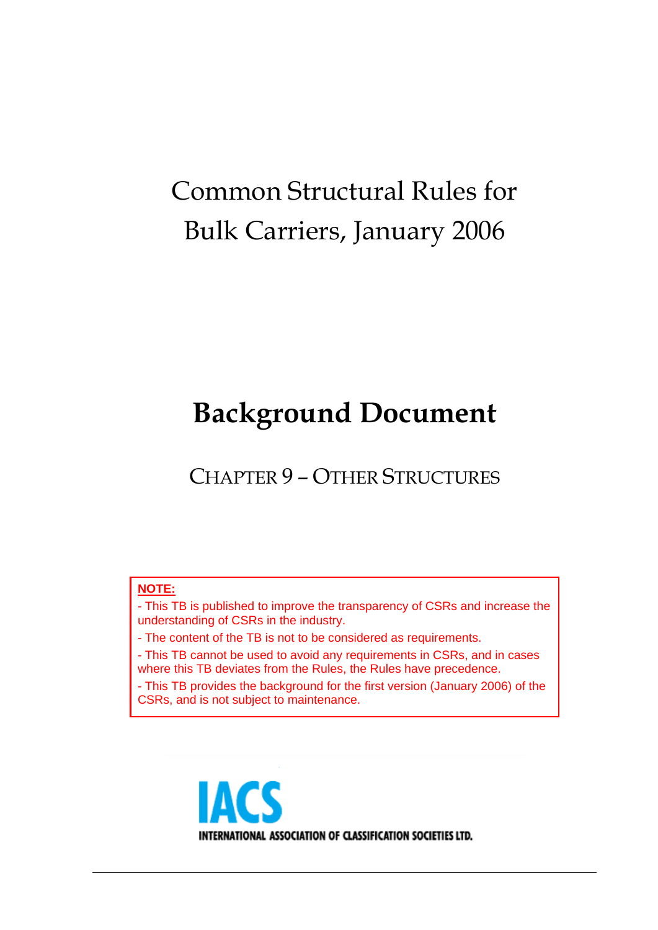# Common Structural Rules for Bulk Carriers, January 2006

# **Background Document**

CHAPTER 9 – OTHER STRUCTURES

# **NOTE:**

- This TB is published to improve the transparency of CSRs and increase the understanding of CSRs in the industry.

- The content of the TB is not to be considered as requirements.

- This TB cannot be used to avoid any requirements in CSRs, and in cases where this TB deviates from the Rules, the Rules have precedence.

- This TB provides the background for the first version (January 2006) of the CSRs, and is not subject to maintenance.

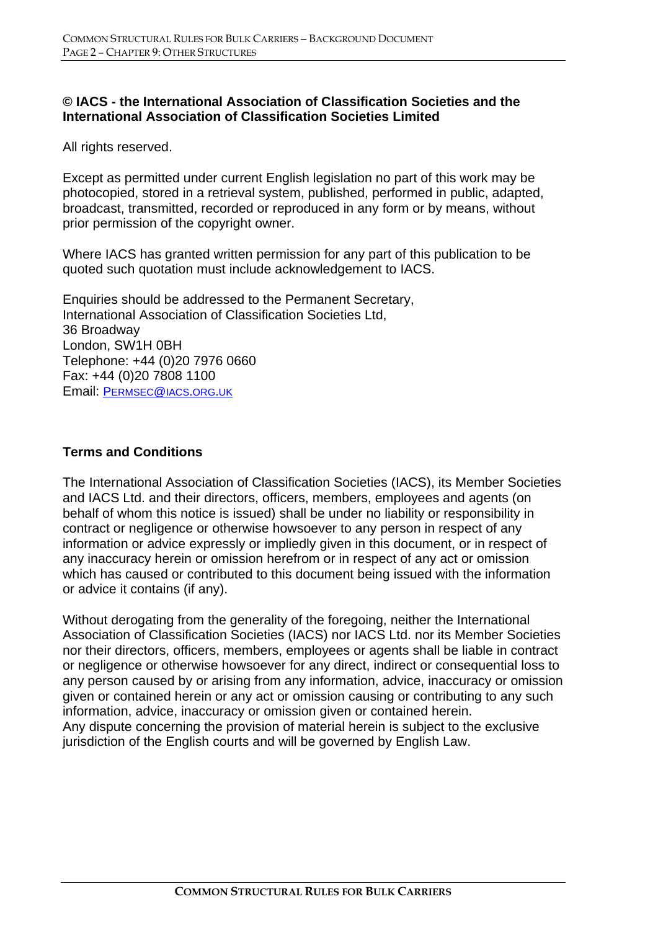# **© IACS - the International Association of Classification Societies and the International Association of Classification Societies Limited**

All rights reserved.

Except as permitted under current English legislation no part of this work may be photocopied, stored in a retrieval system, published, performed in public, adapted, broadcast, transmitted, recorded or reproduced in any form or by means, without prior permission of the copyright owner.

Where IACS has granted written permission for any part of this publication to be quoted such quotation must include acknowledgement to IACS.

Enquiries should be addressed to the Permanent Secretary, International Association of Classification Societies Ltd, 36 Broadway London, SW1H 0BH Telephone: +44 (0)20 7976 0660 Fax: +44 (0)20 7808 1100 Email: PERMSEC@IACS.ORG.UK

# **Terms and Conditions**

The International Association of Classification Societies (IACS), its Member Societies and IACS Ltd. and their directors, officers, members, employees and agents (on behalf of whom this notice is issued) shall be under no liability or responsibility in contract or negligence or otherwise howsoever to any person in respect of any information or advice expressly or impliedly given in this document, or in respect of any inaccuracy herein or omission herefrom or in respect of any act or omission which has caused or contributed to this document being issued with the information or advice it contains (if any).

Without derogating from the generality of the foregoing, neither the International Association of Classification Societies (IACS) nor IACS Ltd. nor its Member Societies nor their directors, officers, members, employees or agents shall be liable in contract or negligence or otherwise howsoever for any direct, indirect or consequential loss to any person caused by or arising from any information, advice, inaccuracy or omission given or contained herein or any act or omission causing or contributing to any such information, advice, inaccuracy or omission given or contained herein. Any dispute concerning the provision of material herein is subject to the exclusive jurisdiction of the English courts and will be governed by English Law.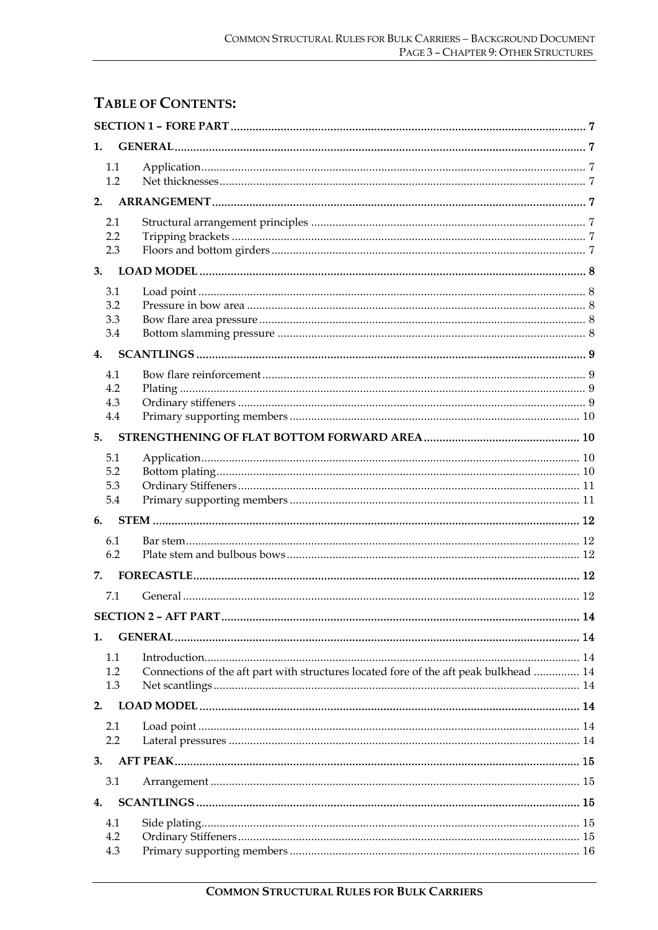# **TABLE OF CONTENTS:**

| 1.                       |                                                                                       |  |  |  |
|--------------------------|---------------------------------------------------------------------------------------|--|--|--|
| 1.1<br>1.2               |                                                                                       |  |  |  |
| 2.                       |                                                                                       |  |  |  |
| 2.1<br>2.2<br>2.3        |                                                                                       |  |  |  |
| 3.                       |                                                                                       |  |  |  |
| 3.1<br>3.2<br>3.3<br>3.4 |                                                                                       |  |  |  |
| $\mathbf{4}$ .           |                                                                                       |  |  |  |
| 4.1<br>4.2<br>4.3<br>4.4 |                                                                                       |  |  |  |
| 5.                       |                                                                                       |  |  |  |
| 5.1<br>5.2<br>5.3<br>5.4 |                                                                                       |  |  |  |
| 6.                       |                                                                                       |  |  |  |
| 6.1<br>6.2               |                                                                                       |  |  |  |
| 7.                       |                                                                                       |  |  |  |
| 7.1                      |                                                                                       |  |  |  |
|                          |                                                                                       |  |  |  |
| 1.<br>1.1<br>1.2<br>1.3  | Connections of the aft part with structures located fore of the aft peak bulkhead  14 |  |  |  |
| 2.                       |                                                                                       |  |  |  |
| 2.1<br>2.2               |                                                                                       |  |  |  |
| 3.                       |                                                                                       |  |  |  |
| 3.1                      |                                                                                       |  |  |  |
| 4.                       |                                                                                       |  |  |  |
| 4.1<br>4.2<br>4.3        |                                                                                       |  |  |  |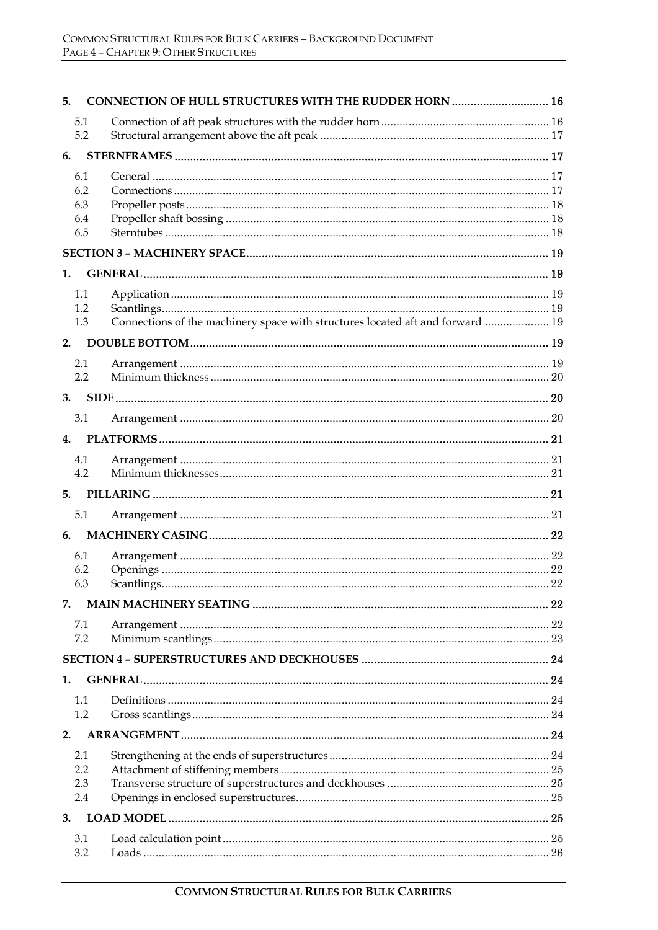| 5. |            | CONNECTION OF HULL STRUCTURES WITH THE RUDDER HORN  16                         |    |
|----|------------|--------------------------------------------------------------------------------|----|
|    | 5.1        |                                                                                |    |
|    | 5.2        |                                                                                |    |
| 6. |            |                                                                                |    |
|    | 6.1        |                                                                                |    |
|    | 6.2        |                                                                                |    |
|    | 6.3<br>6.4 |                                                                                |    |
|    | 6.5        |                                                                                |    |
|    |            |                                                                                |    |
| 1. |            |                                                                                |    |
|    | 1.1        |                                                                                |    |
|    | 1.2        |                                                                                |    |
|    | 1.3        | Connections of the machinery space with structures located aft and forward  19 |    |
| 2. |            |                                                                                |    |
|    | 2.1        |                                                                                |    |
|    | 2.2        |                                                                                |    |
| 3. |            |                                                                                |    |
|    | 3.1        |                                                                                |    |
| 4. |            |                                                                                |    |
|    | 4.1        |                                                                                |    |
|    | 4.2        |                                                                                |    |
|    |            |                                                                                |    |
|    | 5.1        |                                                                                |    |
| 6. |            |                                                                                |    |
|    | 6.1        |                                                                                |    |
|    | 6.2        |                                                                                |    |
|    | 6.3        |                                                                                | 22 |
| 7. |            |                                                                                |    |
|    | 7.1        |                                                                                |    |
|    | 7.2        |                                                                                |    |
|    |            |                                                                                |    |
| 1. |            |                                                                                |    |
|    | 1.1        |                                                                                |    |
|    | 1.2        |                                                                                |    |
| 2. |            |                                                                                |    |
|    | 2.1        |                                                                                |    |
|    | 2.2<br>2.3 |                                                                                |    |
|    | 2.4        |                                                                                |    |
| 3. |            |                                                                                |    |
|    | 3.1        |                                                                                |    |
|    | 3.2        |                                                                                |    |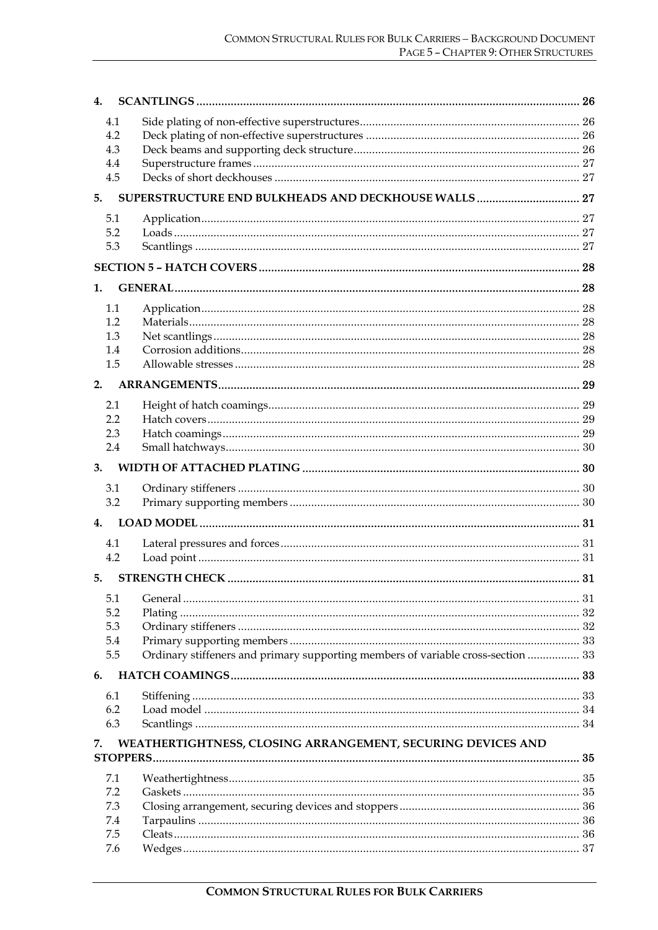| 4.         |                                                                                  |  |  |
|------------|----------------------------------------------------------------------------------|--|--|
| 4.1        |                                                                                  |  |  |
| 4.2        |                                                                                  |  |  |
| 4.3        |                                                                                  |  |  |
| 4.4        |                                                                                  |  |  |
| 4.5        |                                                                                  |  |  |
| 5.         |                                                                                  |  |  |
| 5.1        |                                                                                  |  |  |
| 5.2        |                                                                                  |  |  |
| 5.3        |                                                                                  |  |  |
|            |                                                                                  |  |  |
| 1.         |                                                                                  |  |  |
| 1.1        |                                                                                  |  |  |
| 1.2        |                                                                                  |  |  |
| 1.3        |                                                                                  |  |  |
| 1.4        |                                                                                  |  |  |
| 1.5        |                                                                                  |  |  |
| 2.         |                                                                                  |  |  |
| 2.1        |                                                                                  |  |  |
| 2.2        |                                                                                  |  |  |
| 2.3        |                                                                                  |  |  |
| 2.4        |                                                                                  |  |  |
| 3.         |                                                                                  |  |  |
| 3.1        |                                                                                  |  |  |
| 3.2        |                                                                                  |  |  |
|            |                                                                                  |  |  |
|            |                                                                                  |  |  |
| 4.1<br>4.2 |                                                                                  |  |  |
|            |                                                                                  |  |  |
| 5.         |                                                                                  |  |  |
| 5.1        |                                                                                  |  |  |
| 5.2        |                                                                                  |  |  |
| 5.3        |                                                                                  |  |  |
| 5.4<br>5.5 | Ordinary stiffeners and primary supporting members of variable cross-section  33 |  |  |
| 6.         |                                                                                  |  |  |
|            |                                                                                  |  |  |
| 6.1        |                                                                                  |  |  |
| 6.2        |                                                                                  |  |  |
| 6.3        |                                                                                  |  |  |
| 7.         | WEATHERTIGHTNESS, CLOSING ARRANGEMENT, SECURING DEVICES AND                      |  |  |
| 7.1        |                                                                                  |  |  |
| 7.2        |                                                                                  |  |  |
| 7.3        |                                                                                  |  |  |
| 7.4        |                                                                                  |  |  |
| 7.5        |                                                                                  |  |  |
| 7.6        |                                                                                  |  |  |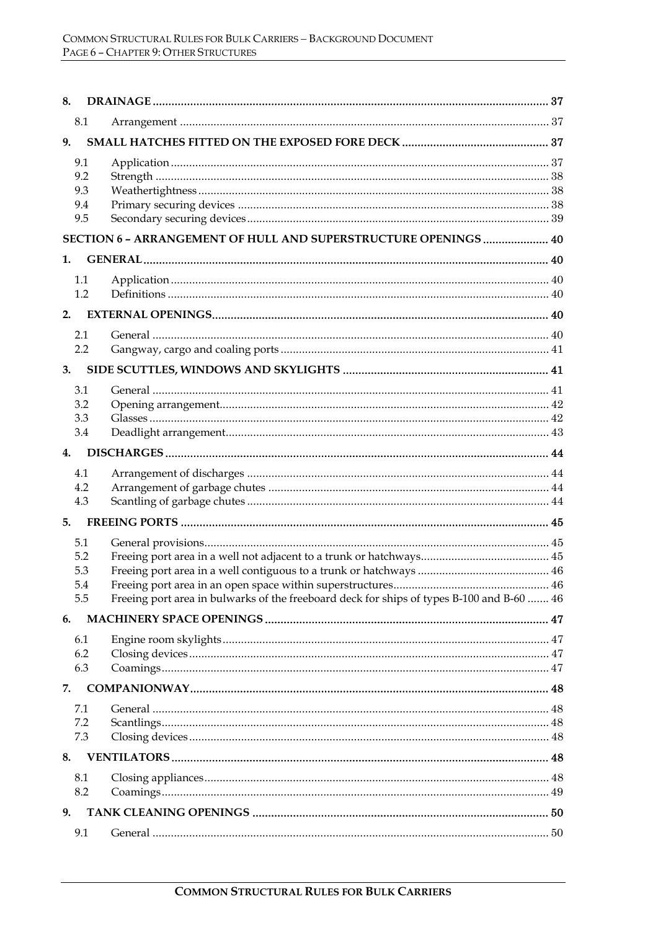| 8. |                                 |                                                                                           |  |  |  |
|----|---------------------------------|-------------------------------------------------------------------------------------------|--|--|--|
|    | 8.1                             |                                                                                           |  |  |  |
| 9. |                                 |                                                                                           |  |  |  |
|    | 9.1<br>9.2<br>9.3<br>9.4<br>9.5 |                                                                                           |  |  |  |
|    |                                 | <b>SECTION 6 - ARRANGEMENT OF HULL AND SUPERSTRUCTURE OPENINGS  40</b>                    |  |  |  |
| 1. |                                 |                                                                                           |  |  |  |
|    | 1.1<br>1.2                      |                                                                                           |  |  |  |
| 2. |                                 |                                                                                           |  |  |  |
|    | 2.1<br>2.2                      |                                                                                           |  |  |  |
| 3. |                                 |                                                                                           |  |  |  |
|    | 3.1<br>3.2<br>3.3<br>3.4        |                                                                                           |  |  |  |
| 4. |                                 |                                                                                           |  |  |  |
|    | 4.1<br>4.2<br>4.3               |                                                                                           |  |  |  |
| 5. |                                 |                                                                                           |  |  |  |
|    | 5.1<br>5.2<br>5.3<br>5.4<br>5.5 | Freeing port area in bulwarks of the freeboard deck for ships of types B-100 and B-60  46 |  |  |  |
| 6. |                                 |                                                                                           |  |  |  |
|    | 6.1<br>6.2<br>6.3               |                                                                                           |  |  |  |
| 7. |                                 |                                                                                           |  |  |  |
|    | 7.1<br>7.2<br>7.3               |                                                                                           |  |  |  |
| 8. |                                 |                                                                                           |  |  |  |
|    | 8.1<br>8.2                      |                                                                                           |  |  |  |
| 9. |                                 |                                                                                           |  |  |  |
|    | 9.1                             |                                                                                           |  |  |  |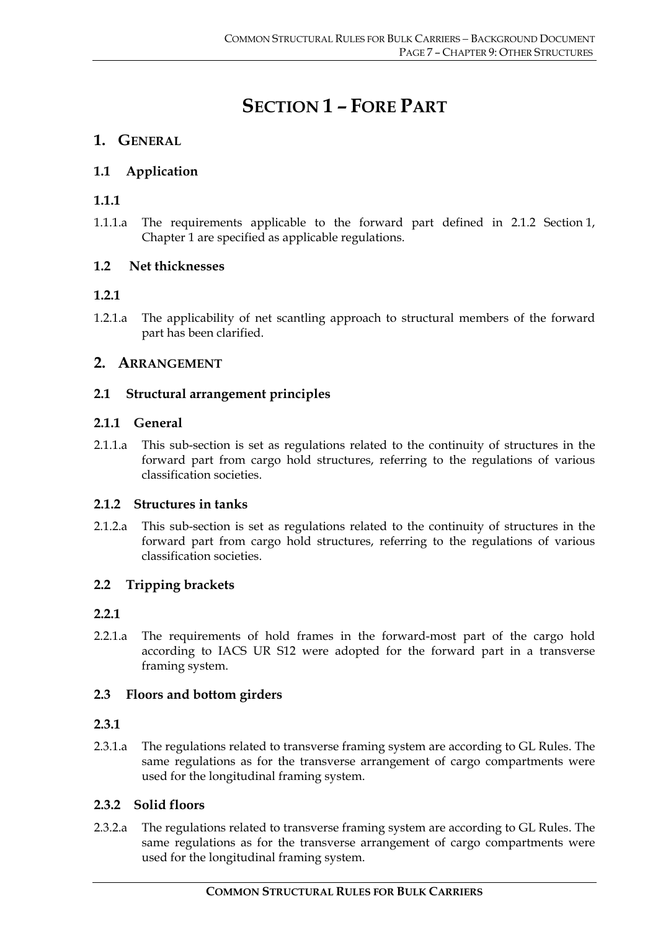# **SECTION 1 – FORE PART**

# **1. GENERAL**

# **1.1 Application**

# **1.1.1**

1.1.1.a The requirements applicable to the forward part defined in 2.1.2 Section 1, Chapter 1 are specified as applicable regulations.

# **1.2 Net thicknesses**

# **1.2.1**

1.2.1.a The applicability of net scantling approach to structural members of the forward part has been clarified.

# **2. ARRANGEMENT**

# **2.1 Structural arrangement principles**

# **2.1.1 General**

2.1.1.a This sub-section is set as regulations related to the continuity of structures in the forward part from cargo hold structures, referring to the regulations of various classification societies.

# **2.1.2 Structures in tanks**

2.1.2.a This sub-section is set as regulations related to the continuity of structures in the forward part from cargo hold structures, referring to the regulations of various classification societies.

# **2.2 Tripping brackets**

# **2.2.1**

2.2.1.a The requirements of hold frames in the forward-most part of the cargo hold according to IACS UR S12 were adopted for the forward part in a transverse framing system.

# **2.3 Floors and bottom girders**

# **2.3.1**

2.3.1.a The regulations related to transverse framing system are according to GL Rules. The same regulations as for the transverse arrangement of cargo compartments were used for the longitudinal framing system.

# **2.3.2 Solid floors**

2.3.2.a The regulations related to transverse framing system are according to GL Rules. The same regulations as for the transverse arrangement of cargo compartments were used for the longitudinal framing system.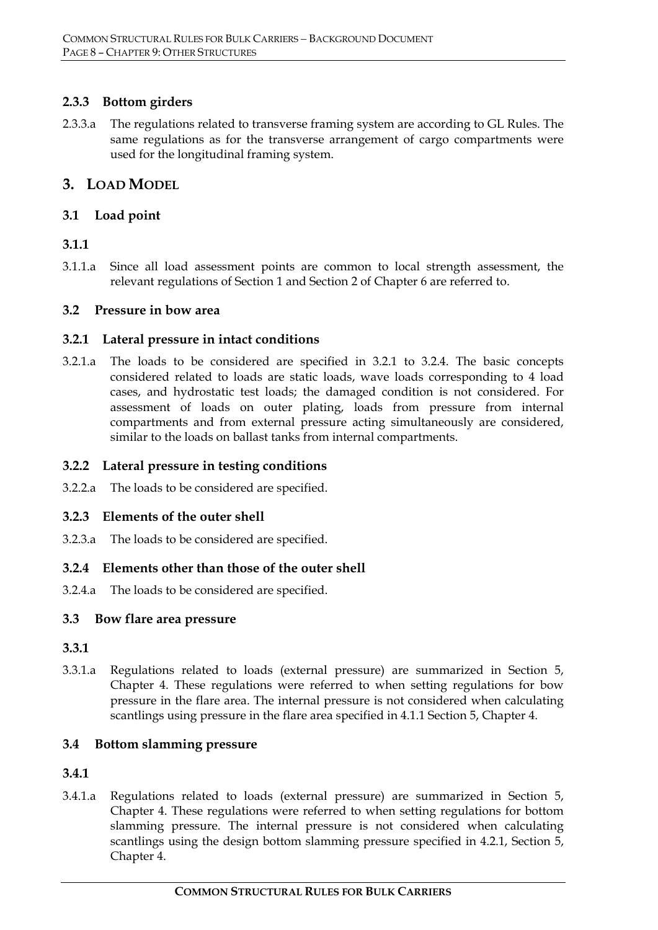# **2.3.3 Bottom girders**

2.3.3.a The regulations related to transverse framing system are according to GL Rules. The same regulations as for the transverse arrangement of cargo compartments were used for the longitudinal framing system.

# **3. LOAD MODEL**

# **3.1 Load point**

# **3.1.1**

3.1.1.a Since all load assessment points are common to local strength assessment, the relevant regulations of Section 1 and Section 2 of Chapter 6 are referred to.

# **3.2 Pressure in bow area**

# **3.2.1 Lateral pressure in intact conditions**

3.2.1.a The loads to be considered are specified in 3.2.1 to 3.2.4. The basic concepts considered related to loads are static loads, wave loads corresponding to 4 load cases, and hydrostatic test loads; the damaged condition is not considered. For assessment of loads on outer plating, loads from pressure from internal compartments and from external pressure acting simultaneously are considered, similar to the loads on ballast tanks from internal compartments.

# **3.2.2 Lateral pressure in testing conditions**

3.2.2.a The loads to be considered are specified.

# **3.2.3 Elements of the outer shell**

3.2.3.a The loads to be considered are specified.

# **3.2.4 Elements other than those of the outer shell**

3.2.4.a The loads to be considered are specified.

# **3.3 Bow flare area pressure**

# **3.3.1**

3.3.1.a Regulations related to loads (external pressure) are summarized in Section 5, Chapter 4. These regulations were referred to when setting regulations for bow pressure in the flare area. The internal pressure is not considered when calculating scantlings using pressure in the flare area specified in 4.1.1 Section 5, Chapter 4.

# **3.4 Bottom slamming pressure**

# **3.4.1**

3.4.1.a Regulations related to loads (external pressure) are summarized in Section 5, Chapter 4. These regulations were referred to when setting regulations for bottom slamming pressure. The internal pressure is not considered when calculating scantlings using the design bottom slamming pressure specified in 4.2.1, Section 5, Chapter 4.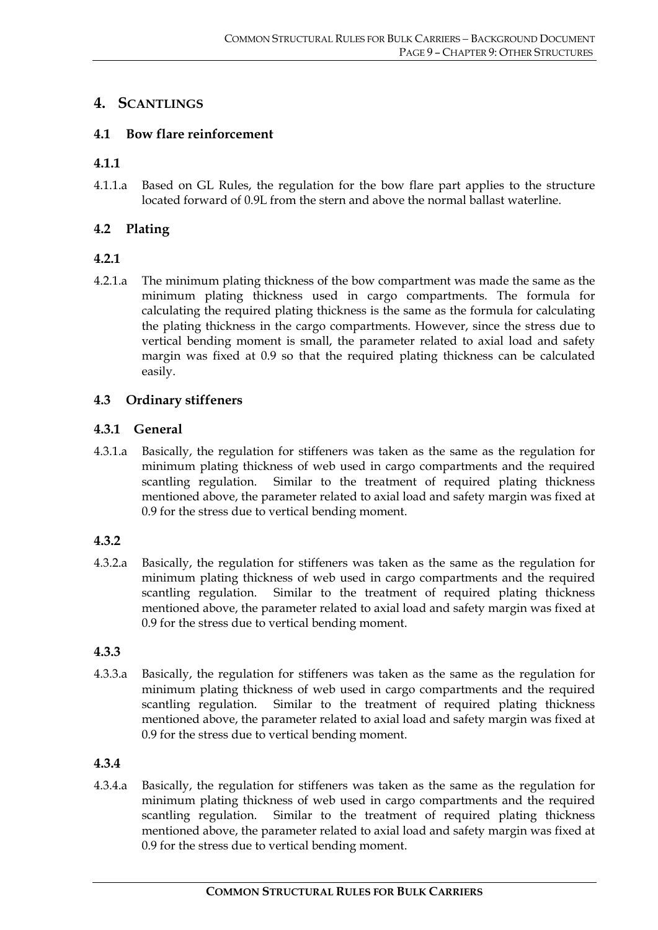# **4. SCANTLINGS**

# **4.1 Bow flare reinforcement**

# **4.1.1**

4.1.1.a Based on GL Rules, the regulation for the bow flare part applies to the structure located forward of 0.9L from the stern and above the normal ballast waterline.

# **4.2 Plating**

# **4.2.1**

4.2.1.a The minimum plating thickness of the bow compartment was made the same as the minimum plating thickness used in cargo compartments. The formula for calculating the required plating thickness is the same as the formula for calculating the plating thickness in the cargo compartments. However, since the stress due to vertical bending moment is small, the parameter related to axial load and safety margin was fixed at 0.9 so that the required plating thickness can be calculated easily.

# **4.3 Ordinary stiffeners**

# **4.3.1 General**

4.3.1.a Basically, the regulation for stiffeners was taken as the same as the regulation for minimum plating thickness of web used in cargo compartments and the required scantling regulation. Similar to the treatment of required plating thickness mentioned above, the parameter related to axial load and safety margin was fixed at 0.9 for the stress due to vertical bending moment.

# **4.3.2**

4.3.2.a Basically, the regulation for stiffeners was taken as the same as the regulation for minimum plating thickness of web used in cargo compartments and the required scantling regulation. Similar to the treatment of required plating thickness mentioned above, the parameter related to axial load and safety margin was fixed at 0.9 for the stress due to vertical bending moment.

# **4.3.3**

4.3.3.a Basically, the regulation for stiffeners was taken as the same as the regulation for minimum plating thickness of web used in cargo compartments and the required scantling regulation. Similar to the treatment of required plating thickness mentioned above, the parameter related to axial load and safety margin was fixed at 0.9 for the stress due to vertical bending moment.

# **4.3.4**

4.3.4.a Basically, the regulation for stiffeners was taken as the same as the regulation for minimum plating thickness of web used in cargo compartments and the required scantling regulation. Similar to the treatment of required plating thickness mentioned above, the parameter related to axial load and safety margin was fixed at 0.9 for the stress due to vertical bending moment.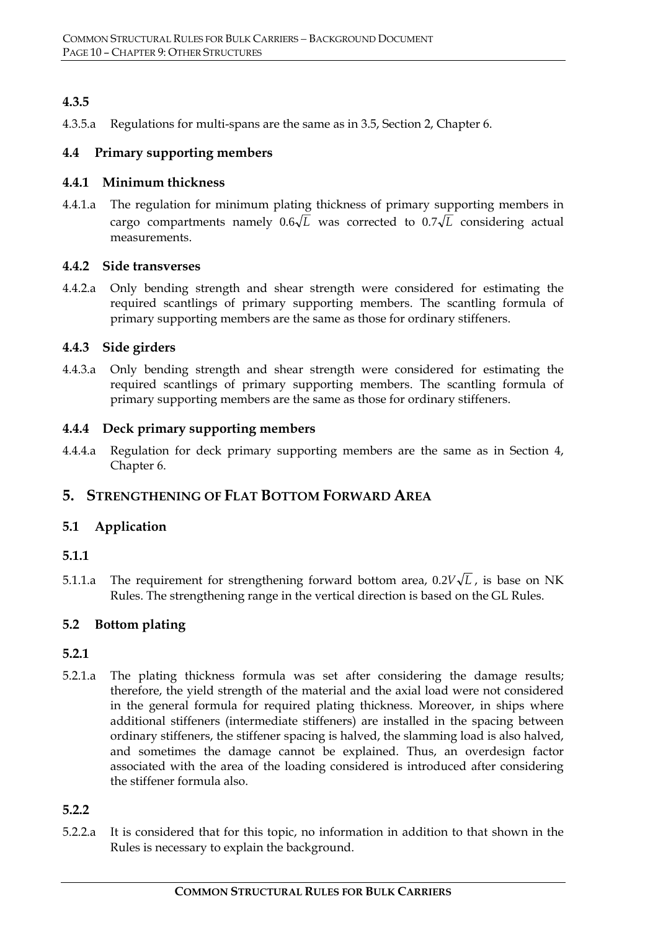# **4.3.5**

4.3.5.a Regulations for multi-spans are the same as in 3.5, Section 2, Chapter 6.

# **4.4 Primary supporting members**

#### **4.4.1 Minimum thickness**

4.4.1.a The regulation for minimum plating thickness of primary supporting members in cargo compartments namely  $0.6\sqrt{L}$  was corrected to  $0.7\sqrt{L}$  considering actual measurements.

#### **4.4.2 Side transverses**

4.4.2.a Only bending strength and shear strength were considered for estimating the required scantlings of primary supporting members. The scantling formula of primary supporting members are the same as those for ordinary stiffeners.

# **4.4.3 Side girders**

4.4.3.a Only bending strength and shear strength were considered for estimating the required scantlings of primary supporting members. The scantling formula of primary supporting members are the same as those for ordinary stiffeners.

# **4.4.4 Deck primary supporting members**

4.4.4.a Regulation for deck primary supporting members are the same as in Section 4, Chapter 6.

# **5. STRENGTHENING OF FLAT BOTTOM FORWARD AREA**

# **5.1 Application**

# **5.1.1**

5.1.1.a The requirement for strengthening forward bottom area,  $0.2V\sqrt{L}$ , is base on NK Rules. The strengthening range in the vertical direction is based on the GL Rules.

# **5.2 Bottom plating**

# **5.2.1**

5.2.1.a The plating thickness formula was set after considering the damage results; therefore, the yield strength of the material and the axial load were not considered in the general formula for required plating thickness. Moreover, in ships where additional stiffeners (intermediate stiffeners) are installed in the spacing between ordinary stiffeners, the stiffener spacing is halved, the slamming load is also halved, and sometimes the damage cannot be explained. Thus, an overdesign factor associated with the area of the loading considered is introduced after considering the stiffener formula also.

# **5.2.2**

5.2.2.a It is considered that for this topic, no information in addition to that shown in the Rules is necessary to explain the background.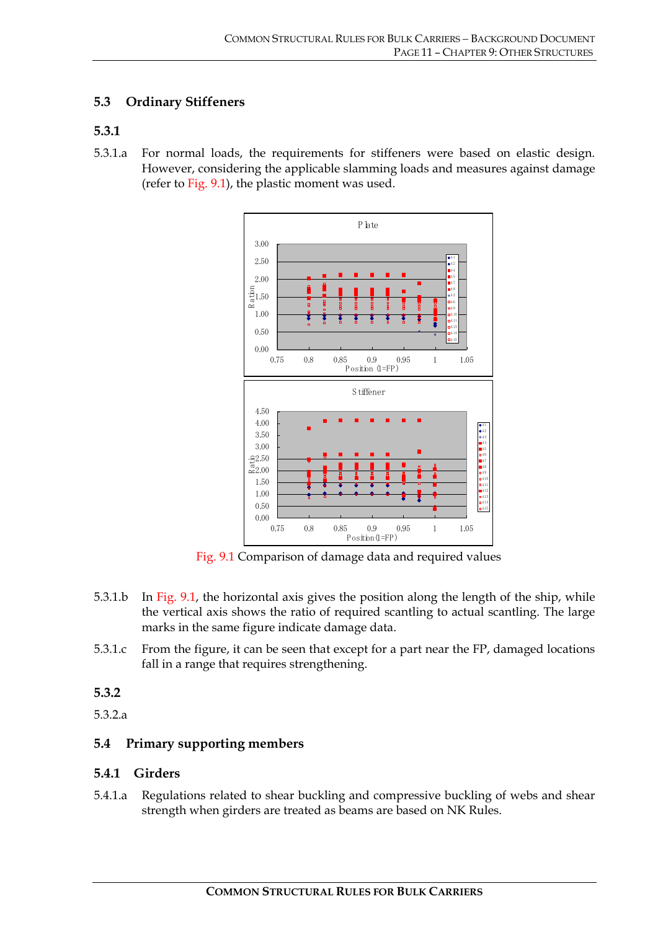# **5.3 Ordinary Stiffeners**

# **5.3.1**

5.3.1.a For normal loads, the requirements for stiffeners were based on elastic design. However, considering the applicable slamming loads and measures against damage (refer to Fig. 9.1), the plastic moment was used.



Fig. 9.1 Comparison of damage data and required values

- 5.3.1.b In Fig. 9.1, the horizontal axis gives the position along the length of the ship, while the vertical axis shows the ratio of required scantling to actual scantling. The large marks in the same figure indicate damage data.
- 5.3.1.c From the figure, it can be seen that except for a part near the FP, damaged locations fall in a range that requires strengthening.

# **5.3.2**

5.3.2.a

# **5.4 Primary supporting members**

#### **5.4.1 Girders**

5.4.1.a Regulations related to shear buckling and compressive buckling of webs and shear strength when girders are treated as beams are based on NK Rules.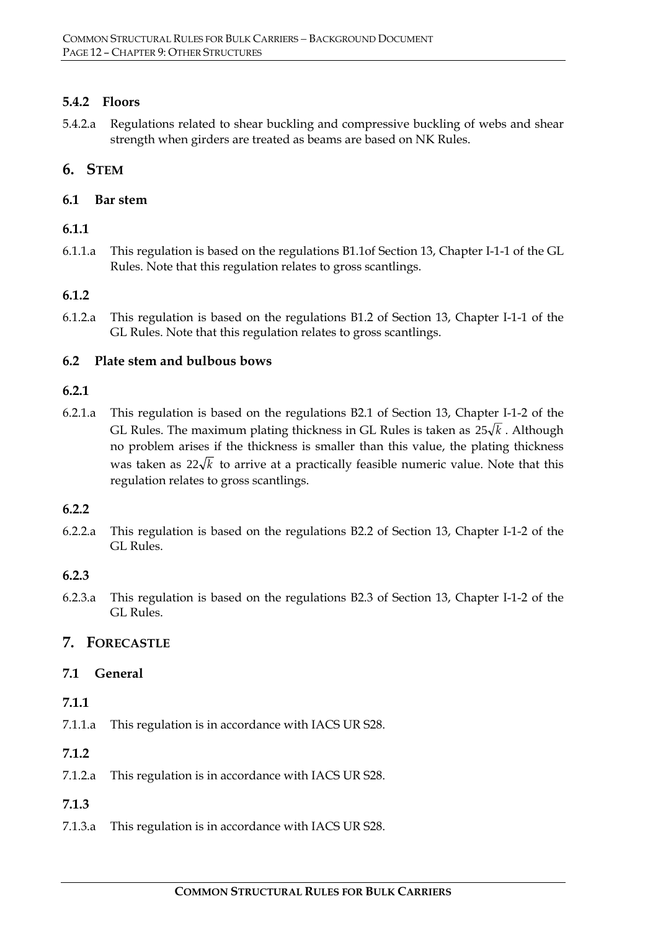# **5.4.2 Floors**

5.4.2.a Regulations related to shear buckling and compressive buckling of webs and shear strength when girders are treated as beams are based on NK Rules.

# **6. STEM**

# **6.1 Bar stem**

# **6.1.1**

6.1.1.a This regulation is based on the regulations B1.1of Section 13, Chapter I-1-1 of the GL Rules. Note that this regulation relates to gross scantlings.

# **6.1.2**

6.1.2.a This regulation is based on the regulations B1.2 of Section 13, Chapter I-1-1 of the GL Rules. Note that this regulation relates to gross scantlings.

# **6.2 Plate stem and bulbous bows**

# **6.2.1**

6.2.1.a This regulation is based on the regulations B2.1 of Section 13, Chapter I-1-2 of the GL Rules. The maximum plating thickness in GL Rules is taken as  $25\sqrt{k}$ . Although no problem arises if the thickness is smaller than this value, the plating thickness was taken as  $22\sqrt{k}$  to arrive at a practically feasible numeric value. Note that this regulation relates to gross scantlings.

# **6.2.2**

6.2.2.a This regulation is based on the regulations B2.2 of Section 13, Chapter I-1-2 of the GL Rules.

# **6.2.3**

6.2.3.a This regulation is based on the regulations B2.3 of Section 13, Chapter I-1-2 of the GL Rules.

# **7. FORECASTLE**

# **7.1 General**

# **7.1.1**

7.1.1.a This regulation is in accordance with IACS UR S28.

# **7.1.2**

7.1.2.a This regulation is in accordance with IACS UR S28.

# **7.1.3**

7.1.3.a This regulation is in accordance with IACS UR S28.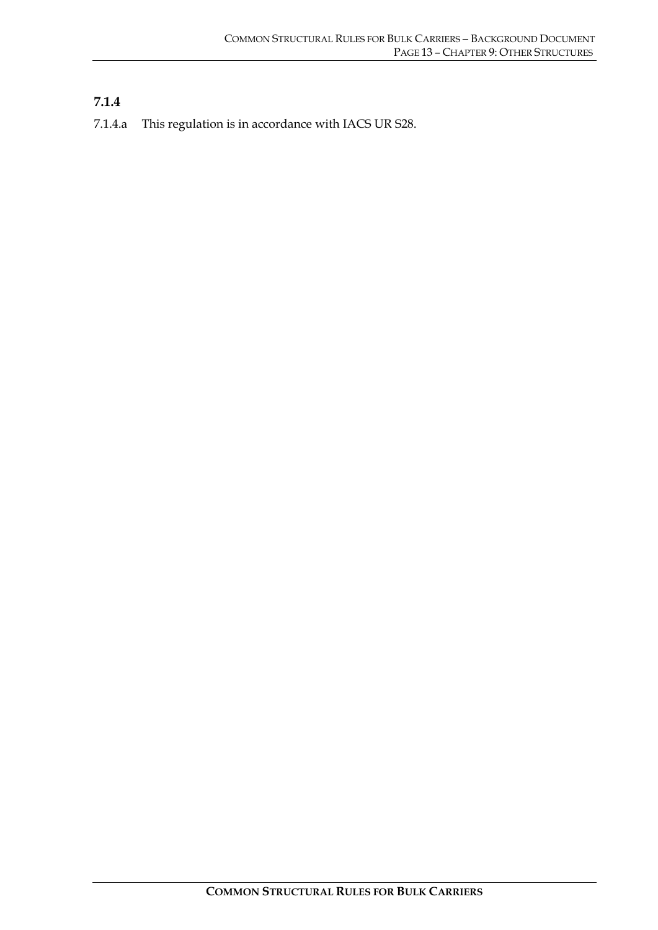# **7.1.4**

7.1.4.a This regulation is in accordance with IACS UR S28.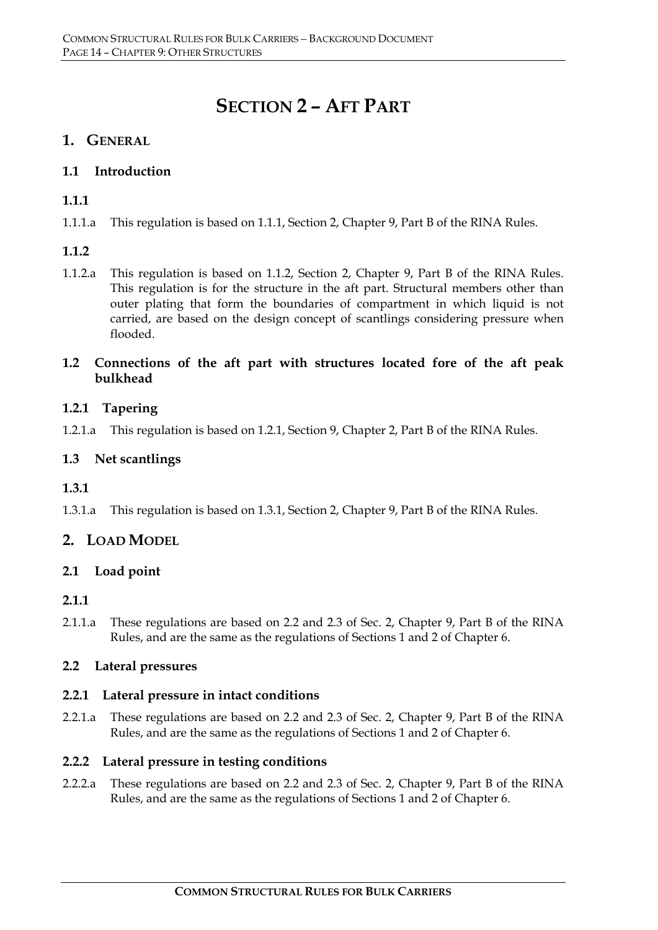# **SECTION 2 – AFT PART**

# **1. GENERAL**

# **1.1 Introduction**

# **1.1.1**

1.1.1.a This regulation is based on 1.1.1, Section 2, Chapter 9, Part B of the RINA Rules.

# **1.1.2**

1.1.2.a This regulation is based on 1.1.2, Section 2, Chapter 9, Part B of the RINA Rules. This regulation is for the structure in the aft part. Structural members other than outer plating that form the boundaries of compartment in which liquid is not carried, are based on the design concept of scantlings considering pressure when flooded.

# **1.2 Connections of the aft part with structures located fore of the aft peak bulkhead**

# **1.2.1 Tapering**

1.2.1.a This regulation is based on 1.2.1, Section 9, Chapter 2, Part B of the RINA Rules.

# **1.3 Net scantlings**

# **1.3.1**

1.3.1.a This regulation is based on 1.3.1, Section 2, Chapter 9, Part B of the RINA Rules.

# **2. LOAD MODEL**

# **2.1 Load point**

# **2.1.1**

2.1.1.a These regulations are based on 2.2 and 2.3 of Sec. 2, Chapter 9, Part B of the RINA Rules, and are the same as the regulations of Sections 1 and 2 of Chapter 6.

# **2.2 Lateral pressures**

# **2.2.1 Lateral pressure in intact conditions**

2.2.1.a These regulations are based on 2.2 and 2.3 of Sec. 2, Chapter 9, Part B of the RINA Rules, and are the same as the regulations of Sections 1 and 2 of Chapter 6.

# **2.2.2 Lateral pressure in testing conditions**

2.2.2.a These regulations are based on 2.2 and 2.3 of Sec. 2, Chapter 9, Part B of the RINA Rules, and are the same as the regulations of Sections 1 and 2 of Chapter 6.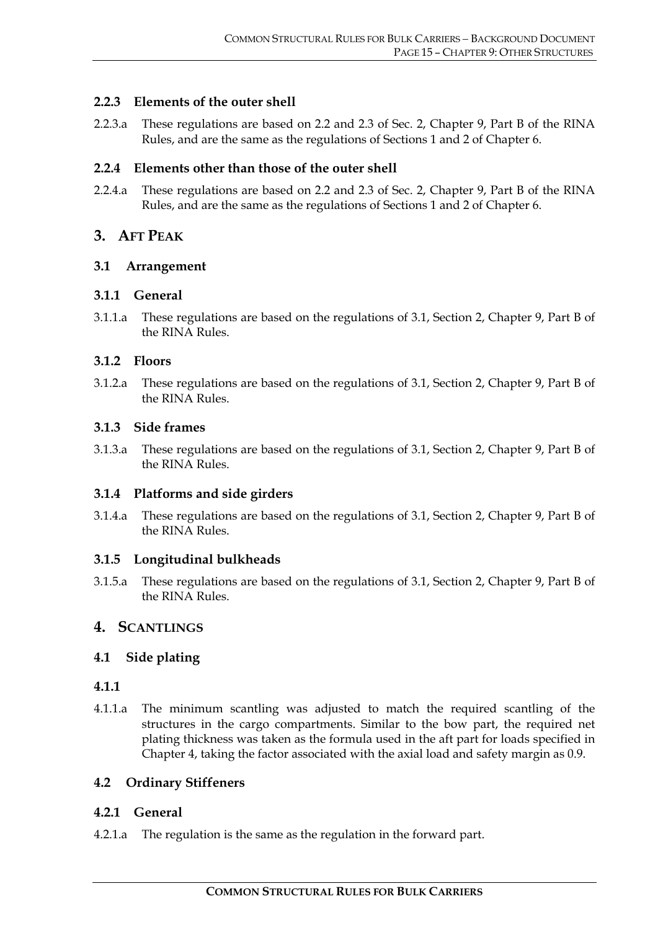# **2.2.3 Elements of the outer shell**

2.2.3.a These regulations are based on 2.2 and 2.3 of Sec. 2, Chapter 9, Part B of the RINA Rules, and are the same as the regulations of Sections 1 and 2 of Chapter 6.

# **2.2.4 Elements other than those of the outer shell**

2.2.4.a These regulations are based on 2.2 and 2.3 of Sec. 2, Chapter 9, Part B of the RINA Rules, and are the same as the regulations of Sections 1 and 2 of Chapter 6.

# **3. AFT PEAK**

# **3.1 Arrangement**

# **3.1.1 General**

3.1.1.a These regulations are based on the regulations of 3.1, Section 2, Chapter 9, Part B of the RINA Rules.

# **3.1.2 Floors**

3.1.2.a These regulations are based on the regulations of 3.1, Section 2, Chapter 9, Part B of the RINA Rules.

# **3.1.3 Side frames**

3.1.3.a These regulations are based on the regulations of 3.1, Section 2, Chapter 9, Part B of the RINA Rules.

# **3.1.4 Platforms and side girders**

3.1.4.a These regulations are based on the regulations of 3.1, Section 2, Chapter 9, Part B of the RINA Rules.

# **3.1.5 Longitudinal bulkheads**

3.1.5.a These regulations are based on the regulations of 3.1, Section 2, Chapter 9, Part B of the RINA Rules.

# **4. SCANTLINGS**

# **4.1 Side plating**

# **4.1.1**

4.1.1.a The minimum scantling was adjusted to match the required scantling of the structures in the cargo compartments. Similar to the bow part, the required net plating thickness was taken as the formula used in the aft part for loads specified in Chapter 4, taking the factor associated with the axial load and safety margin as 0.9.

# **4.2 Ordinary Stiffeners**

# **4.2.1 General**

4.2.1.a The regulation is the same as the regulation in the forward part.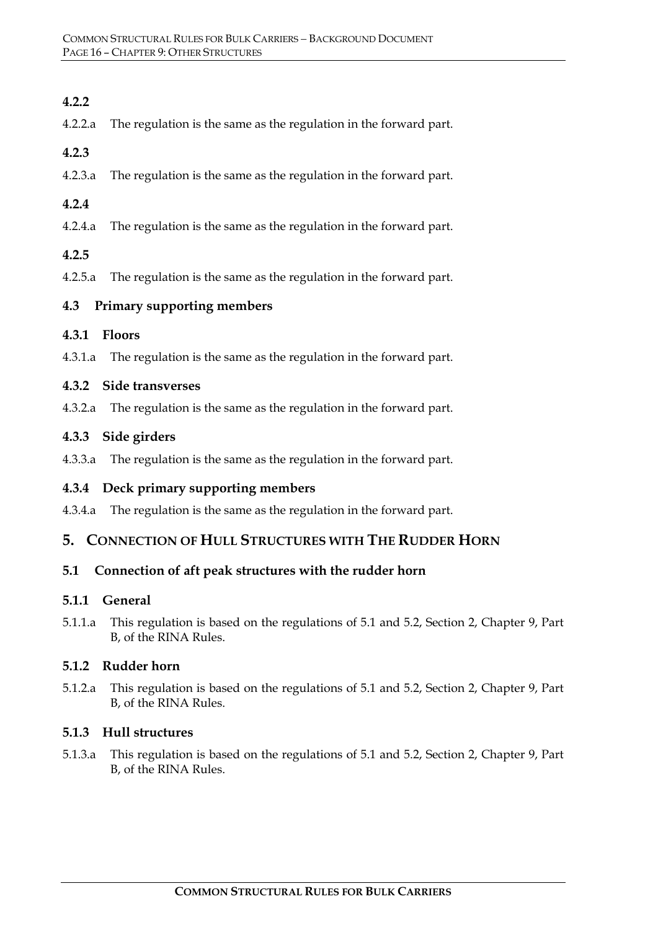# **4.2.2**

4.2.2.a The regulation is the same as the regulation in the forward part.

#### **4.2.3**

4.2.3.a The regulation is the same as the regulation in the forward part.

# **4.2.4**

4.2.4.a The regulation is the same as the regulation in the forward part.

# **4.2.5**

4.2.5.a The regulation is the same as the regulation in the forward part.

# **4.3 Primary supporting members**

# **4.3.1 Floors**

4.3.1.a The regulation is the same as the regulation in the forward part.

#### **4.3.2 Side transverses**

4.3.2.a The regulation is the same as the regulation in the forward part.

# **4.3.3 Side girders**

4.3.3.a The regulation is the same as the regulation in the forward part.

# **4.3.4 Deck primary supporting members**

4.3.4.a The regulation is the same as the regulation in the forward part.

# **5. CONNECTION OF HULL STRUCTURES WITH THE RUDDER HORN**

# **5.1 Connection of aft peak structures with the rudder horn**

# **5.1.1 General**

5.1.1.a This regulation is based on the regulations of 5.1 and 5.2, Section 2, Chapter 9, Part B, of the RINA Rules.

# **5.1.2 Rudder horn**

5.1.2.a This regulation is based on the regulations of 5.1 and 5.2, Section 2, Chapter 9, Part B, of the RINA Rules.

#### **5.1.3 Hull structures**

5.1.3.a This regulation is based on the regulations of 5.1 and 5.2, Section 2, Chapter 9, Part B, of the RINA Rules.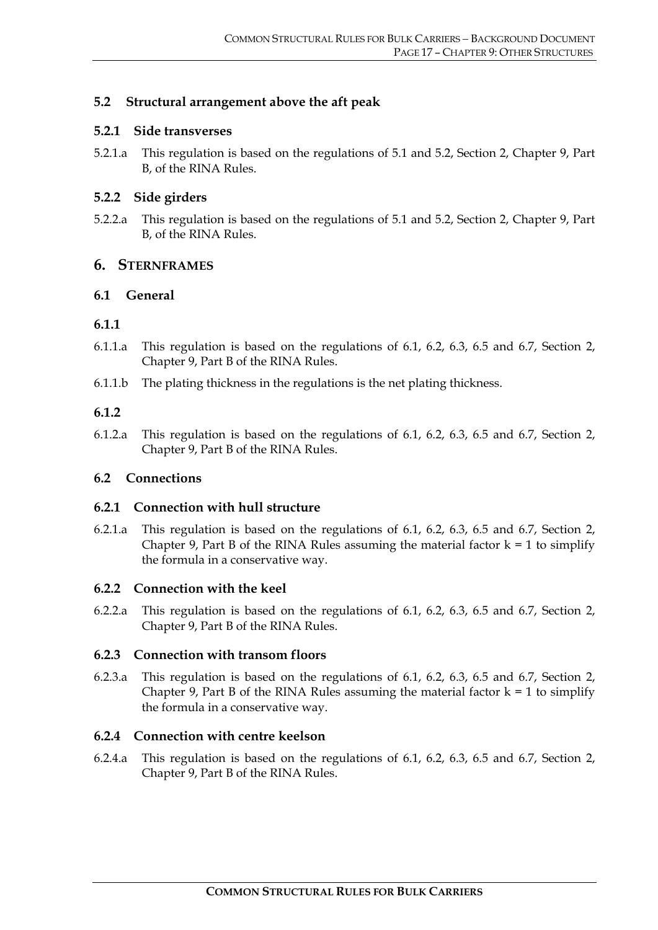# **5.2 Structural arrangement above the aft peak**

#### **5.2.1 Side transverses**

5.2.1.a This regulation is based on the regulations of 5.1 and 5.2, Section 2, Chapter 9, Part B, of the RINA Rules.

#### **5.2.2 Side girders**

5.2.2.a This regulation is based on the regulations of 5.1 and 5.2, Section 2, Chapter 9, Part B, of the RINA Rules.

#### **6. STERNFRAMES**

#### **6.1 General**

#### **6.1.1**

- 6.1.1.a This regulation is based on the regulations of 6.1, 6.2, 6.3, 6.5 and 6.7, Section 2, Chapter 9, Part B of the RINA Rules.
- 6.1.1.b The plating thickness in the regulations is the net plating thickness.

#### **6.1.2**

6.1.2.a This regulation is based on the regulations of 6.1, 6.2, 6.3, 6.5 and 6.7, Section 2, Chapter 9, Part B of the RINA Rules.

#### **6.2 Connections**

#### **6.2.1 Connection with hull structure**

6.2.1.a This regulation is based on the regulations of 6.1, 6.2, 6.3, 6.5 and 6.7, Section 2, Chapter 9, Part B of the RINA Rules assuming the material factor  $k = 1$  to simplify the formula in a conservative way.

#### **6.2.2 Connection with the keel**

6.2.2.a This regulation is based on the regulations of 6.1, 6.2, 6.3, 6.5 and 6.7, Section 2, Chapter 9, Part B of the RINA Rules.

#### **6.2.3 Connection with transom floors**

6.2.3.a This regulation is based on the regulations of 6.1, 6.2, 6.3, 6.5 and 6.7, Section 2, Chapter 9, Part B of the RINA Rules assuming the material factor  $k = 1$  to simplify the formula in a conservative way.

#### **6.2.4 Connection with centre keelson**

6.2.4.a This regulation is based on the regulations of 6.1, 6.2, 6.3, 6.5 and 6.7, Section 2, Chapter 9, Part B of the RINA Rules.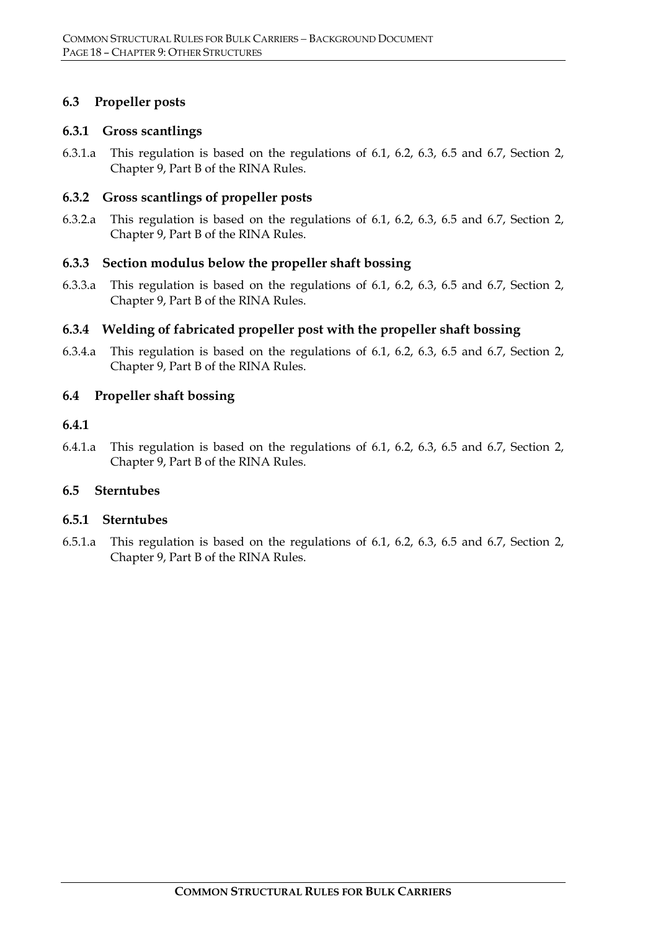# **6.3 Propeller posts**

#### **6.3.1 Gross scantlings**

6.3.1.a This regulation is based on the regulations of 6.1, 6.2, 6.3, 6.5 and 6.7, Section 2, Chapter 9, Part B of the RINA Rules.

# **6.3.2 Gross scantlings of propeller posts**

6.3.2.a This regulation is based on the regulations of 6.1, 6.2, 6.3, 6.5 and 6.7, Section 2, Chapter 9, Part B of the RINA Rules.

#### **6.3.3 Section modulus below the propeller shaft bossing**

6.3.3.a This regulation is based on the regulations of 6.1, 6.2, 6.3, 6.5 and 6.7, Section 2, Chapter 9, Part B of the RINA Rules.

# **6.3.4 Welding of fabricated propeller post with the propeller shaft bossing**

6.3.4.a This regulation is based on the regulations of 6.1, 6.2, 6.3, 6.5 and 6.7, Section 2, Chapter 9, Part B of the RINA Rules.

# **6.4 Propeller shaft bossing**

#### **6.4.1**

6.4.1.a This regulation is based on the regulations of 6.1, 6.2, 6.3, 6.5 and 6.7, Section 2, Chapter 9, Part B of the RINA Rules.

# **6.5 Sterntubes**

#### **6.5.1 Sterntubes**

6.5.1.a This regulation is based on the regulations of 6.1, 6.2, 6.3, 6.5 and 6.7, Section 2, Chapter 9, Part B of the RINA Rules.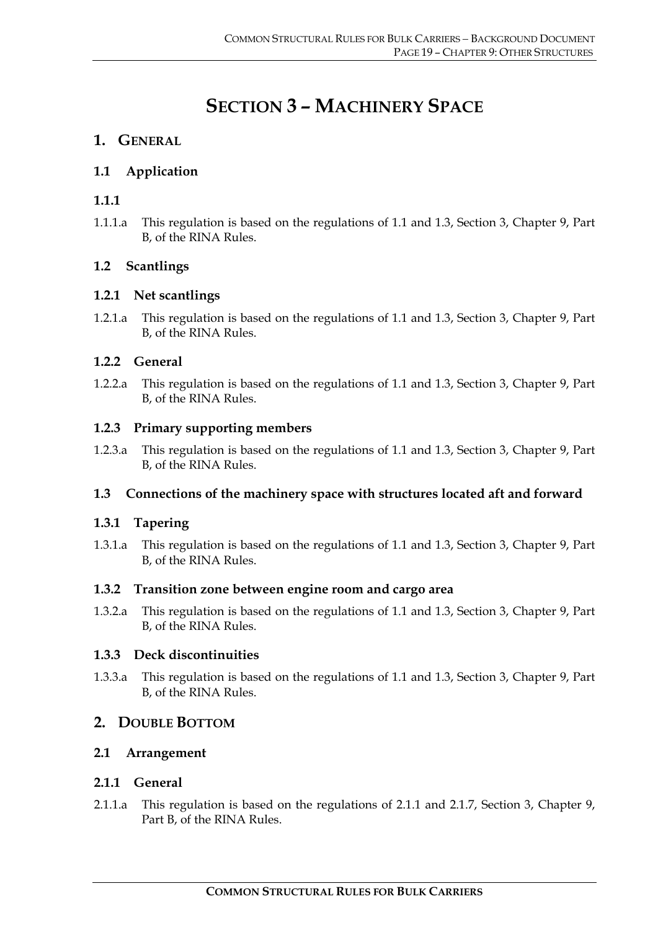# **SECTION 3 – MACHINERY SPACE**

# **1. GENERAL**

# **1.1 Application**

# **1.1.1**

1.1.1.a This regulation is based on the regulations of 1.1 and 1.3, Section 3, Chapter 9, Part B, of the RINA Rules.

# **1.2 Scantlings**

# **1.2.1 Net scantlings**

1.2.1.a This regulation is based on the regulations of 1.1 and 1.3, Section 3, Chapter 9, Part B, of the RINA Rules.

# **1.2.2 General**

1.2.2.a This regulation is based on the regulations of 1.1 and 1.3, Section 3, Chapter 9, Part B, of the RINA Rules.

# **1.2.3 Primary supporting members**

1.2.3.a This regulation is based on the regulations of 1.1 and 1.3, Section 3, Chapter 9, Part B, of the RINA Rules.

# **1.3 Connections of the machinery space with structures located aft and forward**

# **1.3.1 Tapering**

1.3.1.a This regulation is based on the regulations of 1.1 and 1.3, Section 3, Chapter 9, Part B, of the RINA Rules.

# **1.3.2 Transition zone between engine room and cargo area**

1.3.2.a This regulation is based on the regulations of 1.1 and 1.3, Section 3, Chapter 9, Part B, of the RINA Rules.

# **1.3.3 Deck discontinuities**

1.3.3.a This regulation is based on the regulations of 1.1 and 1.3, Section 3, Chapter 9, Part B, of the RINA Rules.

# **2. DOUBLE BOTTOM**

# **2.1 Arrangement**

# **2.1.1 General**

2.1.1.a This regulation is based on the regulations of 2.1.1 and 2.1.7, Section 3, Chapter 9, Part B, of the RINA Rules.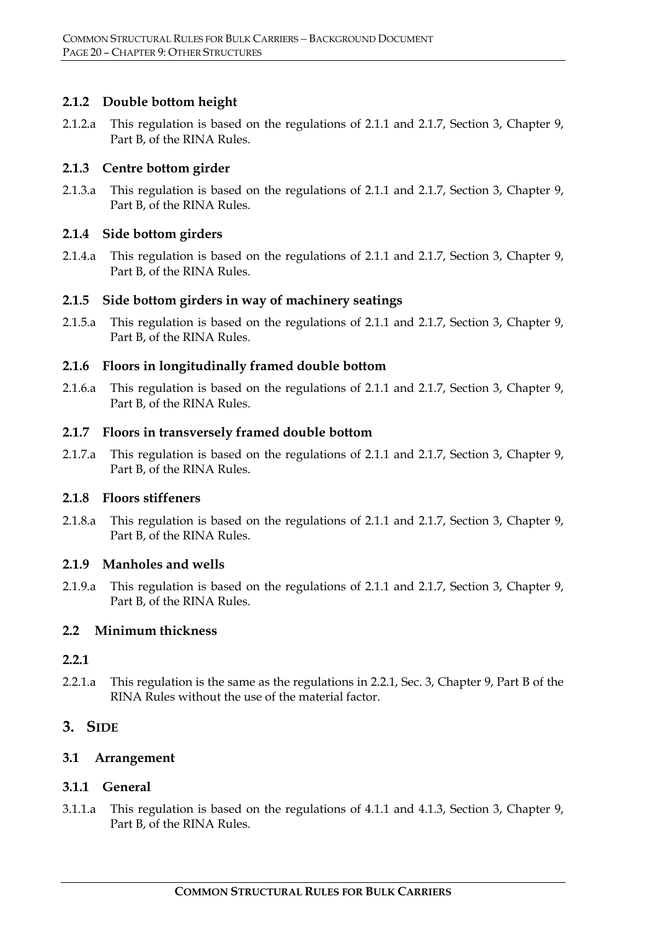# **2.1.2 Double bottom height**

2.1.2.a This regulation is based on the regulations of 2.1.1 and 2.1.7, Section 3, Chapter 9, Part B, of the RINA Rules.

#### **2.1.3 Centre bottom girder**

2.1.3.a This regulation is based on the regulations of 2.1.1 and 2.1.7, Section 3, Chapter 9, Part B, of the RINA Rules.

#### **2.1.4 Side bottom girders**

2.1.4.a This regulation is based on the regulations of 2.1.1 and 2.1.7, Section 3, Chapter 9, Part B, of the RINA Rules.

# **2.1.5 Side bottom girders in way of machinery seatings**

2.1.5.a This regulation is based on the regulations of 2.1.1 and 2.1.7, Section 3, Chapter 9, Part B, of the RINA Rules.

#### **2.1.6 Floors in longitudinally framed double bottom**

2.1.6.a This regulation is based on the regulations of 2.1.1 and 2.1.7, Section 3, Chapter 9, Part B, of the RINA Rules.

#### **2.1.7 Floors in transversely framed double bottom**

2.1.7.a This regulation is based on the regulations of 2.1.1 and 2.1.7, Section 3, Chapter 9, Part B, of the RINA Rules.

#### **2.1.8 Floors stiffeners**

2.1.8.a This regulation is based on the regulations of 2.1.1 and 2.1.7, Section 3, Chapter 9, Part B, of the RINA Rules.

#### **2.1.9 Manholes and wells**

2.1.9.a This regulation is based on the regulations of 2.1.1 and 2.1.7, Section 3, Chapter 9, Part B, of the RINA Rules.

# **2.2 Minimum thickness**

#### **2.2.1**

2.2.1.a This regulation is the same as the regulations in 2.2.1, Sec. 3, Chapter 9, Part B of the RINA Rules without the use of the material factor.

# **3. SIDE**

# **3.1 Arrangement**

# **3.1.1 General**

3.1.1.a This regulation is based on the regulations of 4.1.1 and 4.1.3, Section 3, Chapter 9, Part B, of the RINA Rules.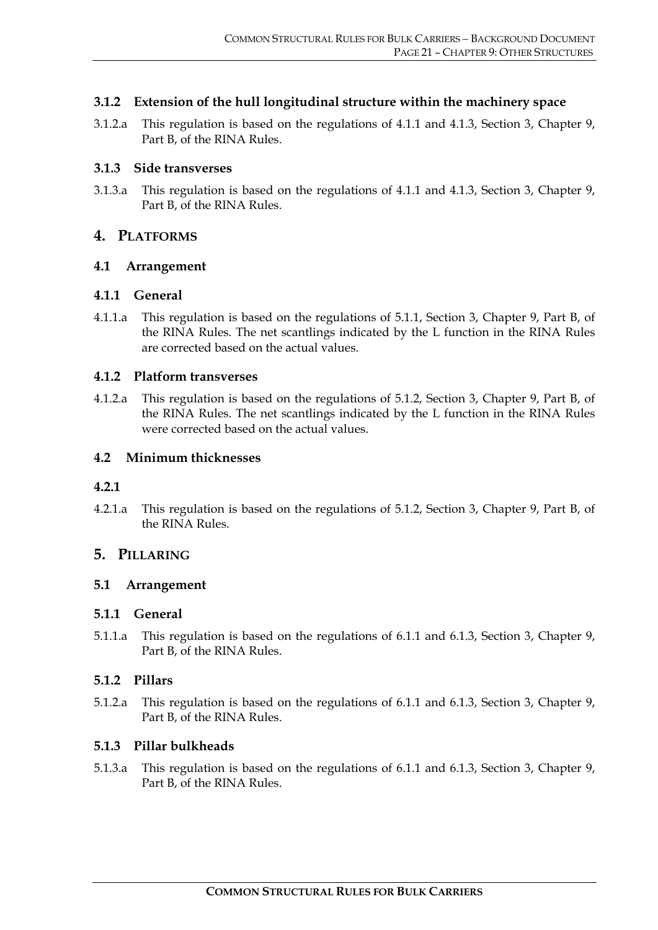# **3.1.2 Extension of the hull longitudinal structure within the machinery space**

3.1.2.a This regulation is based on the regulations of 4.1.1 and 4.1.3, Section 3, Chapter 9, Part B, of the RINA Rules.

#### **3.1.3 Side transverses**

3.1.3.a This regulation is based on the regulations of 4.1.1 and 4.1.3, Section 3, Chapter 9, Part B, of the RINA Rules.

# **4. PLATFORMS**

#### **4.1 Arrangement**

#### **4.1.1 General**

4.1.1.a This regulation is based on the regulations of 5.1.1, Section 3, Chapter 9, Part B, of the RINA Rules. The net scantlings indicated by the L function in the RINA Rules are corrected based on the actual values.

#### **4.1.2 Platform transverses**

4.1.2.a This regulation is based on the regulations of 5.1.2, Section 3, Chapter 9, Part B, of the RINA Rules. The net scantlings indicated by the L function in the RINA Rules were corrected based on the actual values.

#### **4.2 Minimum thicknesses**

#### **4.2.1**

4.2.1.a This regulation is based on the regulations of 5.1.2, Section 3, Chapter 9, Part B, of the RINA Rules.

# **5. PILLARING**

# **5.1 Arrangement**

# **5.1.1 General**

5.1.1.a This regulation is based on the regulations of 6.1.1 and 6.1.3, Section 3, Chapter 9, Part B, of the RINA Rules.

# **5.1.2 Pillars**

5.1.2.a This regulation is based on the regulations of 6.1.1 and 6.1.3, Section 3, Chapter 9, Part B, of the RINA Rules.

# **5.1.3 Pillar bulkheads**

5.1.3.a This regulation is based on the regulations of 6.1.1 and 6.1.3, Section 3, Chapter 9, Part B, of the RINA Rules.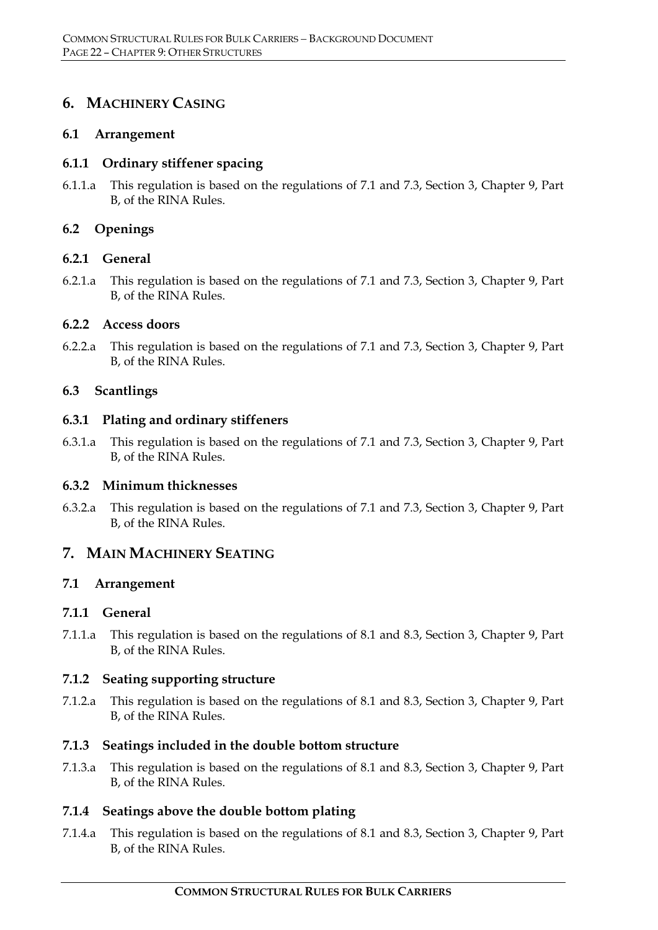# **6. MACHINERY CASING**

#### **6.1 Arrangement**

#### **6.1.1 Ordinary stiffener spacing**

6.1.1.a This regulation is based on the regulations of 7.1 and 7.3, Section 3, Chapter 9, Part B, of the RINA Rules.

# **6.2 Openings**

#### **6.2.1 General**

6.2.1.a This regulation is based on the regulations of 7.1 and 7.3, Section 3, Chapter 9, Part B, of the RINA Rules.

#### **6.2.2 Access doors**

6.2.2.a This regulation is based on the regulations of 7.1 and 7.3, Section 3, Chapter 9, Part B, of the RINA Rules.

#### **6.3 Scantlings**

#### **6.3.1 Plating and ordinary stiffeners**

6.3.1.a This regulation is based on the regulations of 7.1 and 7.3, Section 3, Chapter 9, Part B, of the RINA Rules.

#### **6.3.2 Minimum thicknesses**

6.3.2.a This regulation is based on the regulations of 7.1 and 7.3, Section 3, Chapter 9, Part B, of the RINA Rules.

# **7. MAIN MACHINERY SEATING**

#### **7.1 Arrangement**

#### **7.1.1 General**

7.1.1.a This regulation is based on the regulations of 8.1 and 8.3, Section 3, Chapter 9, Part B, of the RINA Rules.

#### **7.1.2 Seating supporting structure**

7.1.2.a This regulation is based on the regulations of 8.1 and 8.3, Section 3, Chapter 9, Part B, of the RINA Rules.

# **7.1.3 Seatings included in the double bottom structure**

7.1.3.a This regulation is based on the regulations of 8.1 and 8.3, Section 3, Chapter 9, Part B, of the RINA Rules.

# **7.1.4 Seatings above the double bottom plating**

7.1.4.a This regulation is based on the regulations of 8.1 and 8.3, Section 3, Chapter 9, Part B, of the RINA Rules.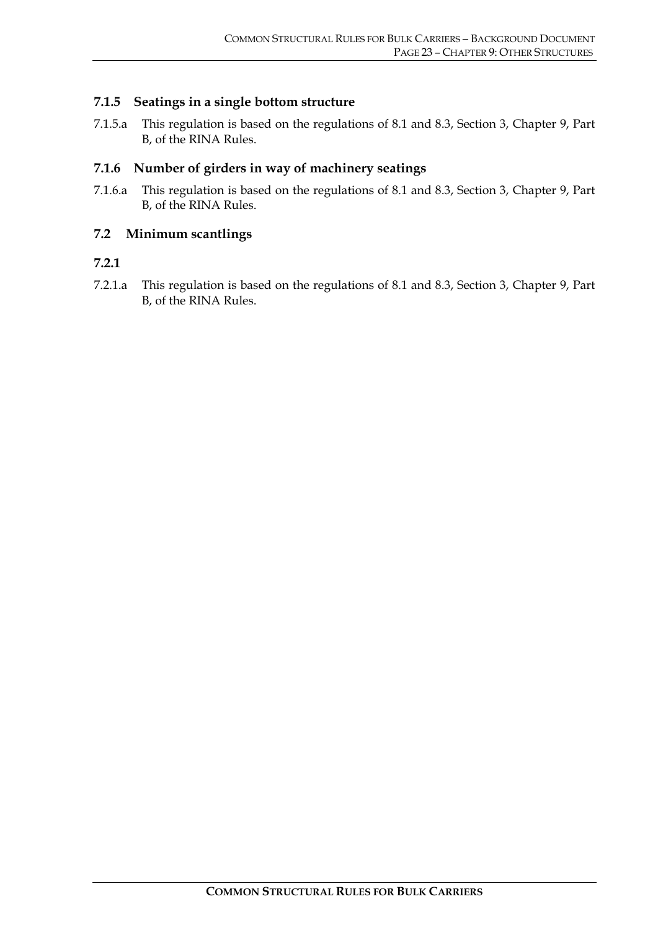# **7.1.5 Seatings in a single bottom structure**

7.1.5.a This regulation is based on the regulations of 8.1 and 8.3, Section 3, Chapter 9, Part B, of the RINA Rules.

# **7.1.6 Number of girders in way of machinery seatings**

7.1.6.a This regulation is based on the regulations of 8.1 and 8.3, Section 3, Chapter 9, Part B, of the RINA Rules.

#### **7.2 Minimum scantlings**

# **7.2.1**

7.2.1.a This regulation is based on the regulations of 8.1 and 8.3, Section 3, Chapter 9, Part B, of the RINA Rules.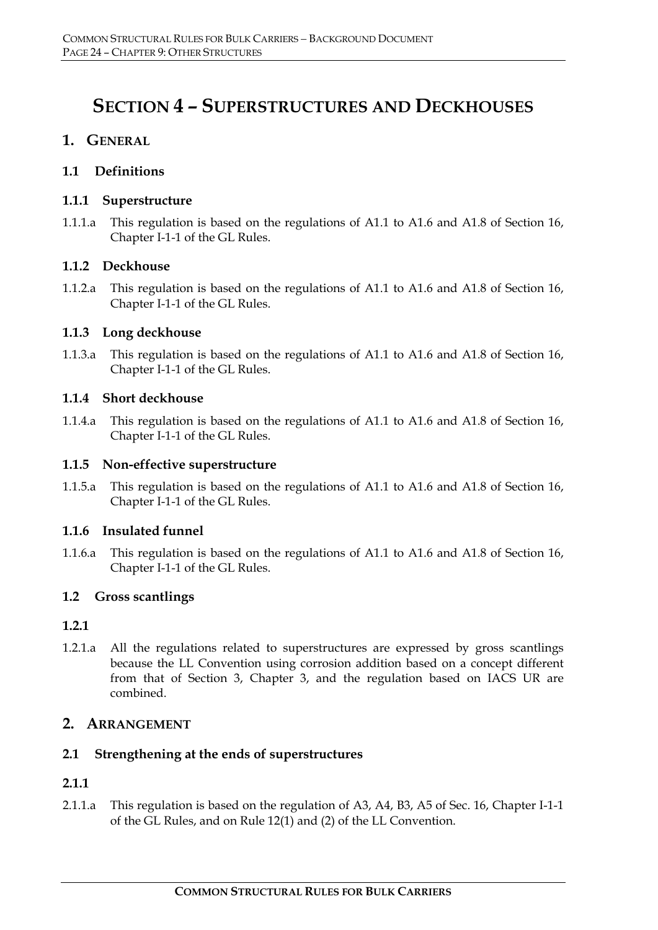# **SECTION 4 – SUPERSTRUCTURES AND DECKHOUSES**

# **1. GENERAL**

# **1.1 Definitions**

# **1.1.1 Superstructure**

1.1.1.a This regulation is based on the regulations of A1.1 to A1.6 and A1.8 of Section 16, Chapter I-1-1 of the GL Rules.

# **1.1.2 Deckhouse**

1.1.2.a This regulation is based on the regulations of A1.1 to A1.6 and A1.8 of Section 16, Chapter I-1-1 of the GL Rules.

# **1.1.3 Long deckhouse**

1.1.3.a This regulation is based on the regulations of A1.1 to A1.6 and A1.8 of Section 16, Chapter I-1-1 of the GL Rules.

# **1.1.4 Short deckhouse**

1.1.4.a This regulation is based on the regulations of A1.1 to A1.6 and A1.8 of Section 16, Chapter I-1-1 of the GL Rules.

# **1.1.5 Non-effective superstructure**

1.1.5.a This regulation is based on the regulations of A1.1 to A1.6 and A1.8 of Section 16, Chapter I-1-1 of the GL Rules.

# **1.1.6 Insulated funnel**

1.1.6.a This regulation is based on the regulations of A1.1 to A1.6 and A1.8 of Section 16, Chapter I-1-1 of the GL Rules.

# **1.2 Gross scantlings**

# **1.2.1**

1.2.1.a All the regulations related to superstructures are expressed by gross scantlings because the LL Convention using corrosion addition based on a concept different from that of Section 3, Chapter 3, and the regulation based on IACS UR are combined.

# **2. ARRANGEMENT**

# **2.1 Strengthening at the ends of superstructures**

# **2.1.1**

2.1.1.a This regulation is based on the regulation of A3, A4, B3, A5 of Sec. 16, Chapter I-1-1 of the GL Rules, and on Rule 12(1) and (2) of the LL Convention.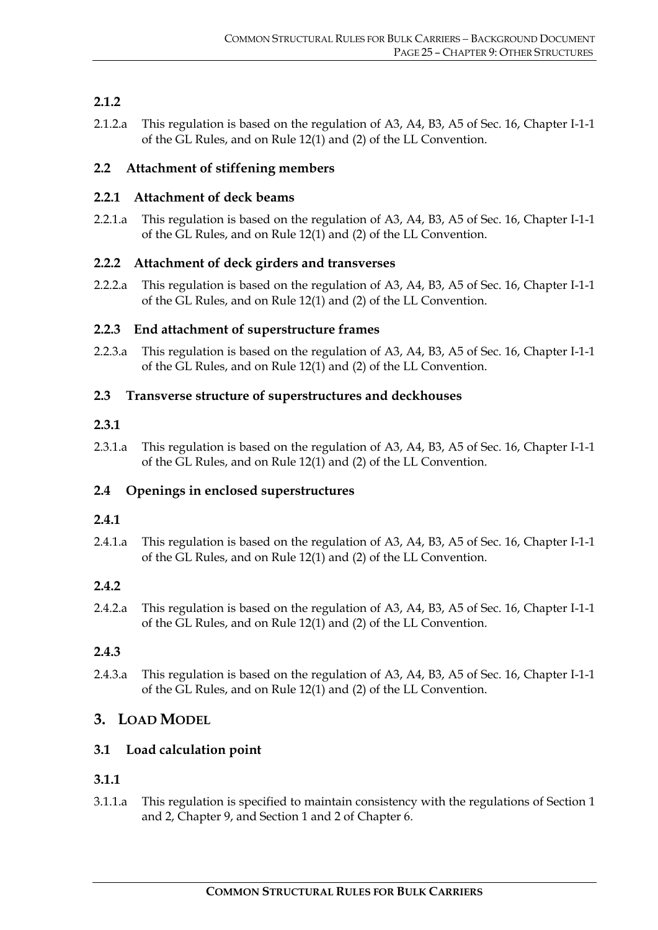# **2.1.2**

2.1.2.a This regulation is based on the regulation of A3, A4, B3, A5 of Sec. 16, Chapter I-1-1 of the GL Rules, and on Rule 12(1) and (2) of the LL Convention.

# **2.2 Attachment of stiffening members**

# **2.2.1 Attachment of deck beams**

2.2.1.a This regulation is based on the regulation of A3, A4, B3, A5 of Sec. 16, Chapter I-1-1 of the GL Rules, and on Rule 12(1) and (2) of the LL Convention.

# **2.2.2 Attachment of deck girders and transverses**

2.2.2.a This regulation is based on the regulation of A3, A4, B3, A5 of Sec. 16, Chapter I-1-1 of the GL Rules, and on Rule 12(1) and (2) of the LL Convention.

# **2.2.3 End attachment of superstructure frames**

2.2.3.a This regulation is based on the regulation of A3, A4, B3, A5 of Sec. 16, Chapter I-1-1 of the GL Rules, and on Rule 12(1) and (2) of the LL Convention.

# **2.3 Transverse structure of superstructures and deckhouses**

# **2.3.1**

2.3.1.a This regulation is based on the regulation of A3, A4, B3, A5 of Sec. 16, Chapter I-1-1 of the GL Rules, and on Rule 12(1) and (2) of the LL Convention.

# **2.4 Openings in enclosed superstructures**

# **2.4.1**

2.4.1.a This regulation is based on the regulation of A3, A4, B3, A5 of Sec. 16, Chapter I-1-1 of the GL Rules, and on Rule 12(1) and (2) of the LL Convention.

# **2.4.2**

2.4.2.a This regulation is based on the regulation of A3, A4, B3, A5 of Sec. 16, Chapter I-1-1 of the GL Rules, and on Rule 12(1) and (2) of the LL Convention.

# **2.4.3**

2.4.3.a This regulation is based on the regulation of A3, A4, B3, A5 of Sec. 16, Chapter I-1-1 of the GL Rules, and on Rule 12(1) and (2) of the LL Convention.

# **3. LOAD MODEL**

# **3.1 Load calculation point**

# **3.1.1**

3.1.1.a This regulation is specified to maintain consistency with the regulations of Section 1 and 2, Chapter 9, and Section 1 and 2 of Chapter 6.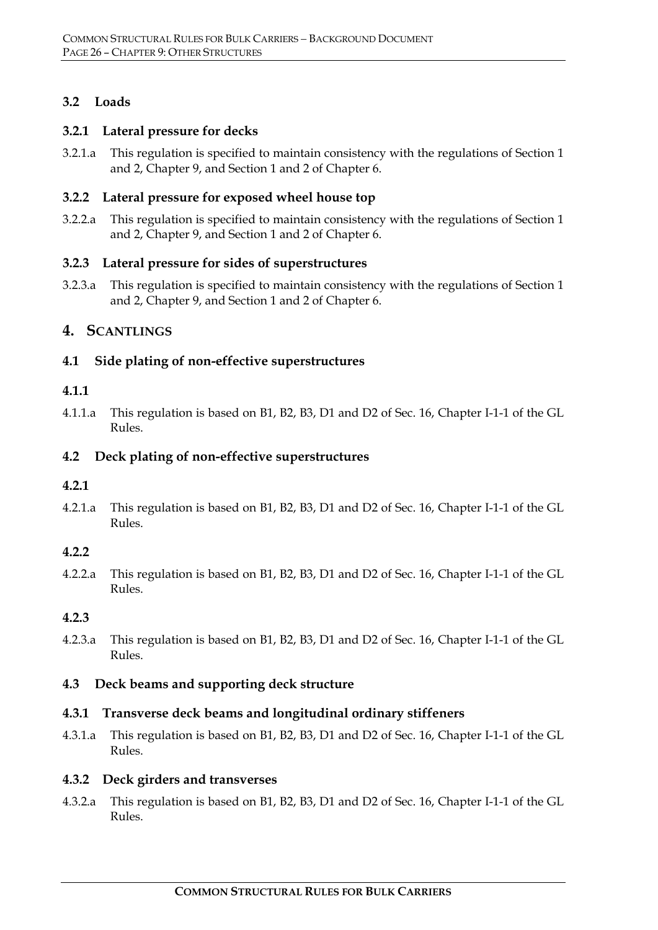# **3.2 Loads**

# **3.2.1 Lateral pressure for decks**

3.2.1.a This regulation is specified to maintain consistency with the regulations of Section 1 and 2, Chapter 9, and Section 1 and 2 of Chapter 6.

#### **3.2.2 Lateral pressure for exposed wheel house top**

3.2.2.a This regulation is specified to maintain consistency with the regulations of Section 1 and 2, Chapter 9, and Section 1 and 2 of Chapter 6.

#### **3.2.3 Lateral pressure for sides of superstructures**

3.2.3.a This regulation is specified to maintain consistency with the regulations of Section 1 and 2, Chapter 9, and Section 1 and 2 of Chapter 6.

# **4. SCANTLINGS**

# **4.1 Side plating of non-effective superstructures**

#### **4.1.1**

4.1.1.a This regulation is based on B1, B2, B3, D1 and D2 of Sec. 16, Chapter I-1-1 of the GL Rules.

#### **4.2 Deck plating of non-effective superstructures**

#### **4.2.1**

4.2.1.a This regulation is based on B1, B2, B3, D1 and D2 of Sec. 16, Chapter I-1-1 of the GL Rules.

#### **4.2.2**

4.2.2.a This regulation is based on B1, B2, B3, D1 and D2 of Sec. 16, Chapter I-1-1 of the GL  $R_{11}$  $_{\text{PSS}}$ 

#### **4.2.3**

4.2.3.a This regulation is based on B1, B2, B3, D1 and D2 of Sec. 16, Chapter I-1-1 of the GL Rules.

#### **4.3 Deck beams and supporting deck structure**

#### **4.3.1 Transverse deck beams and longitudinal ordinary stiffeners**

4.3.1.a This regulation is based on B1, B2, B3, D1 and D2 of Sec. 16, Chapter I-1-1 of the GL Rules.

#### **4.3.2 Deck girders and transverses**

4.3.2.a This regulation is based on B1, B2, B3, D1 and D2 of Sec. 16, Chapter I-1-1 of the GL Rules.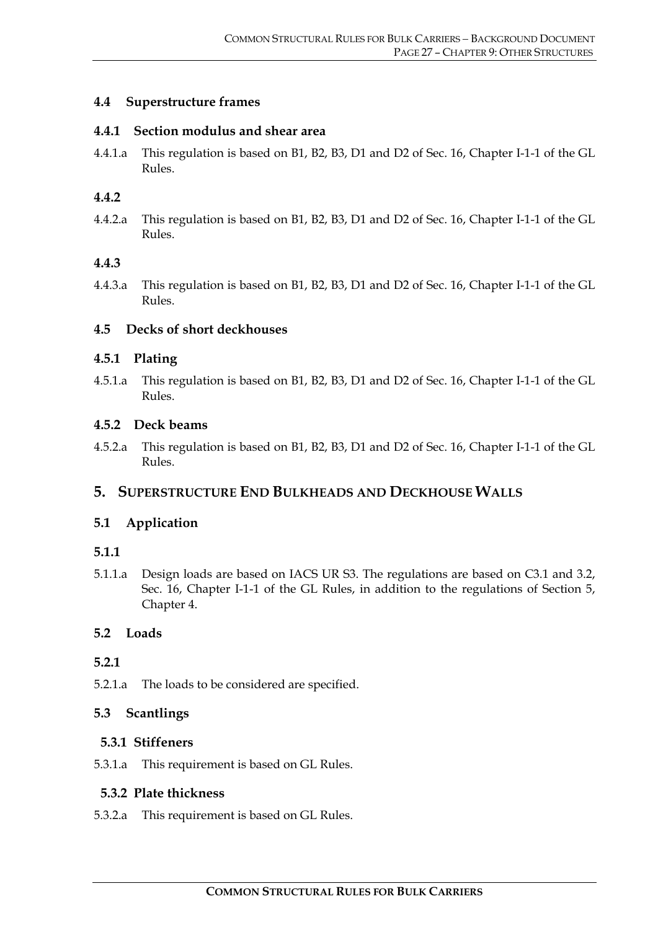# **4.4 Superstructure frames**

#### **4.4.1 Section modulus and shear area**

4.4.1.a This regulation is based on B1, B2, B3, D1 and D2 of Sec. 16, Chapter I-1-1 of the GL Rules.

#### **4.4.2**

4.4.2.a This regulation is based on B1, B2, B3, D1 and D2 of Sec. 16, Chapter I-1-1 of the GL Rules.

#### **4.4.3**

4.4.3.a This regulation is based on B1, B2, B3, D1 and D2 of Sec. 16, Chapter I-1-1 of the GL Rules.

#### **4.5 Decks of short deckhouses**

#### **4.5.1 Plating**

4.5.1.a This regulation is based on B1, B2, B3, D1 and D2 of Sec. 16, Chapter I-1-1 of the GL Rules.

#### **4.5.2 Deck beams**

4.5.2.a This regulation is based on B1, B2, B3, D1 and D2 of Sec. 16, Chapter I-1-1 of the GL Rules.

# **5. SUPERSTRUCTURE END BULKHEADS AND DECKHOUSE WALLS**

# **5.1 Application**

# **5.1.1**

5.1.1.a Design loads are based on IACS UR S3. The regulations are based on C3.1 and 3.2, Sec. 16, Chapter I-1-1 of the GL Rules, in addition to the regulations of Section 5, Chapter 4.

# **5.2 Loads**

#### **5.2.1**

5.2.1.a The loads to be considered are specified.

# **5.3 Scantlings**

# **5.3.1 Stiffeners**

5.3.1.a This requirement is based on GL Rules.

#### **5.3.2 Plate thickness**

5.3.2.a This requirement is based on GL Rules.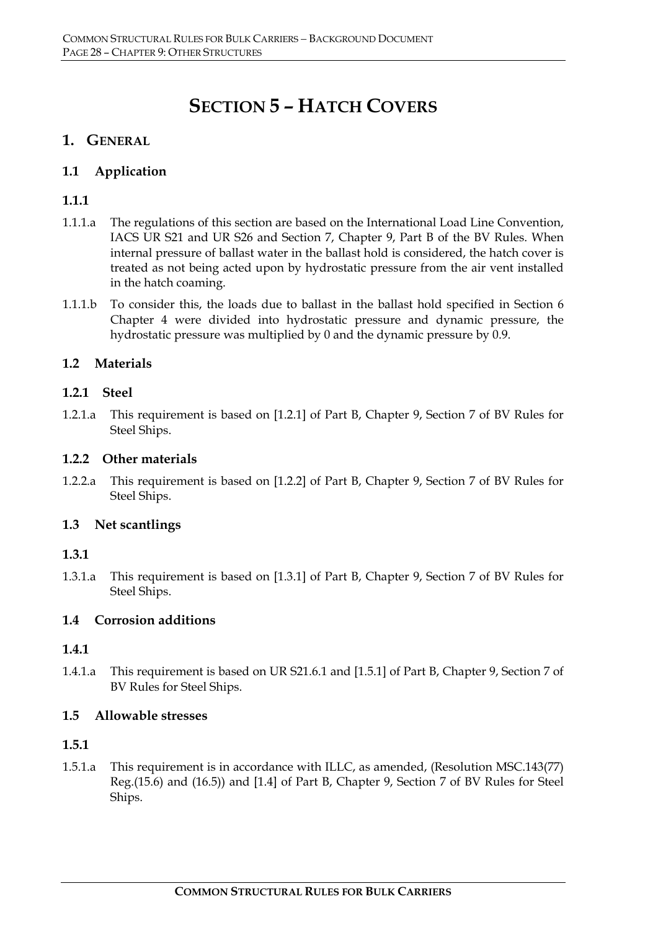# **SECTION 5 – HATCH COVERS**

# **1. GENERAL**

# **1.1 Application**

# **1.1.1**

- 1.1.1.a The regulations of this section are based on the International Load Line Convention, IACS UR S21 and UR S26 and Section 7, Chapter 9, Part B of the BV Rules. When internal pressure of ballast water in the ballast hold is considered, the hatch cover is treated as not being acted upon by hydrostatic pressure from the air vent installed in the hatch coaming.
- 1.1.1.b To consider this, the loads due to ballast in the ballast hold specified in Section 6 Chapter 4 were divided into hydrostatic pressure and dynamic pressure, the hydrostatic pressure was multiplied by 0 and the dynamic pressure by 0.9.

# **1.2 Materials**

# **1.2.1 Steel**

1.2.1.a This requirement is based on [1.2.1] of Part B, Chapter 9, Section 7 of BV Rules for Steel Ships.

# **1.2.2 Other materials**

1.2.2.a This requirement is based on [1.2.2] of Part B, Chapter 9, Section 7 of BV Rules for Steel Ships.

# **1.3 Net scantlings**

# **1.3.1**

1.3.1.a This requirement is based on [1.3.1] of Part B, Chapter 9, Section 7 of BV Rules for Steel Ships.

# **1.4 Corrosion additions**

# **1.4.1**

1.4.1.a This requirement is based on UR S21.6.1 and [1.5.1] of Part B, Chapter 9, Section 7 of BV Rules for Steel Ships.

# **1.5 Allowable stresses**

# **1.5.1**

1.5.1.a This requirement is in accordance with ILLC, as amended, (Resolution MSC.143(77) Reg.(15.6) and (16.5)) and [1.4] of Part B, Chapter 9, Section 7 of BV Rules for Steel Ships.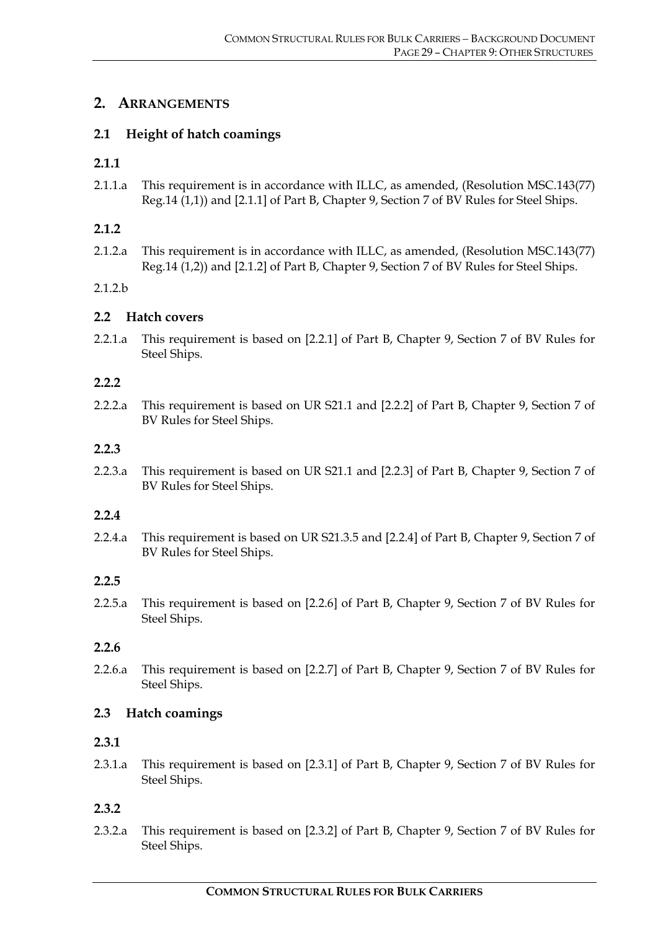# **2. ARRANGEMENTS**

# **2.1 Height of hatch coamings**

# **2.1.1**

2.1.1.a This requirement is in accordance with ILLC, as amended, (Resolution MSC.143(77) Reg.14 (1,1)) and [2.1.1] of Part B, Chapter 9, Section 7 of BV Rules for Steel Ships.

# **2.1.2**

2.1.2.a This requirement is in accordance with ILLC, as amended, (Resolution MSC.143(77) Reg.14 (1,2)) and [2.1.2] of Part B, Chapter 9, Section 7 of BV Rules for Steel Ships.

2.1.2.b

# **2.2 Hatch covers**

2.2.1.a This requirement is based on [2.2.1] of Part B, Chapter 9, Section 7 of BV Rules for Steel Ships.

#### **2.2.2**

2.2.2.a This requirement is based on UR S21.1 and [2.2.2] of Part B, Chapter 9, Section 7 of BV Rules for Steel Ships.

# **2.2.3**

2.2.3.a This requirement is based on UR S21.1 and [2.2.3] of Part B, Chapter 9, Section 7 of BV Rules for Steel Ships.

# **2.2.4**

2.2.4.a This requirement is based on UR S21.3.5 and [2.2.4] of Part B, Chapter 9, Section 7 of BV Rules for Steel Ships.

# **2.2.5**

2.2.5.a This requirement is based on [2.2.6] of Part B, Chapter 9, Section 7 of BV Rules for Steel Ships.

# **2.2.6**

2.2.6.a This requirement is based on [2.2.7] of Part B, Chapter 9, Section 7 of BV Rules for Steel Ships.

# **2.3 Hatch coamings**

# **2.3.1**

2.3.1.a This requirement is based on [2.3.1] of Part B, Chapter 9, Section 7 of BV Rules for Steel Ships.

# **2.3.2**

2.3.2.a This requirement is based on [2.3.2] of Part B, Chapter 9, Section 7 of BV Rules for Steel Ships.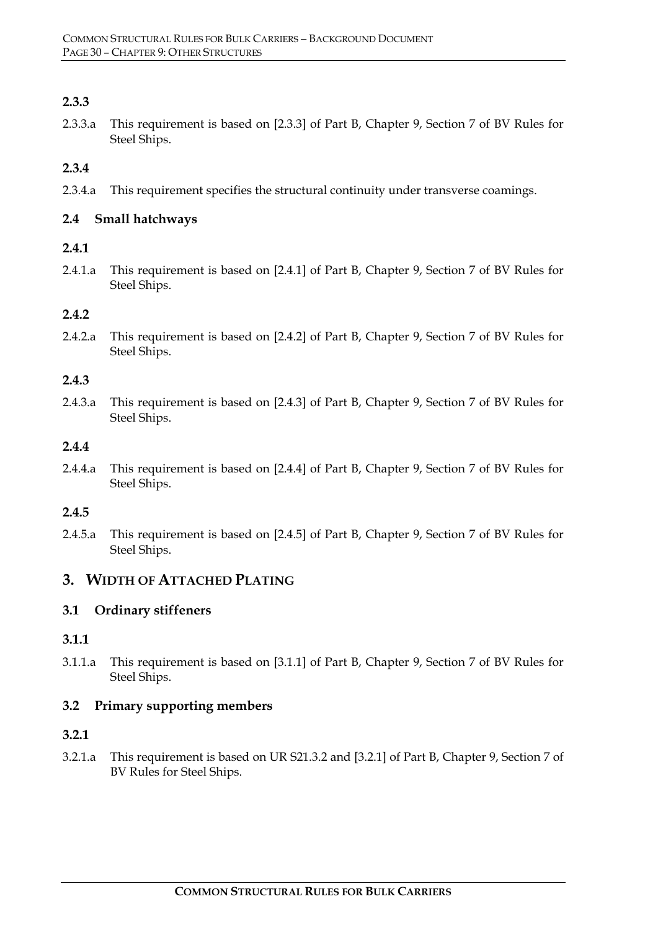# **2.3.3**

2.3.3.a This requirement is based on [2.3.3] of Part B, Chapter 9, Section 7 of BV Rules for Steel Ships.

# **2.3.4**

2.3.4.a This requirement specifies the structural continuity under transverse coamings.

# **2.4 Small hatchways**

# **2.4.1**

2.4.1.a This requirement is based on [2.4.1] of Part B, Chapter 9, Section 7 of BV Rules for Steel Ships.

# **2.4.2**

2.4.2.a This requirement is based on [2.4.2] of Part B, Chapter 9, Section 7 of BV Rules for Steel Ships.

# **2.4.3**

2.4.3.a This requirement is based on [2.4.3] of Part B, Chapter 9, Section 7 of BV Rules for Steel Ships.

# **2.4.4**

2.4.4.a This requirement is based on [2.4.4] of Part B, Chapter 9, Section 7 of BV Rules for Steel Ships.

# **2.4.5**

2.4.5.a This requirement is based on [2.4.5] of Part B, Chapter 9, Section 7 of BV Rules for Steel Ships.

# **3. WIDTH OF ATTACHED PLATING**

# **3.1 Ordinary stiffeners**

# **3.1.1**

3.1.1.a This requirement is based on [3.1.1] of Part B, Chapter 9, Section 7 of BV Rules for Steel Ships.

# **3.2 Primary supporting members**

# **3.2.1**

3.2.1.a This requirement is based on UR S21.3.2 and [3.2.1] of Part B, Chapter 9, Section 7 of BV Rules for Steel Ships.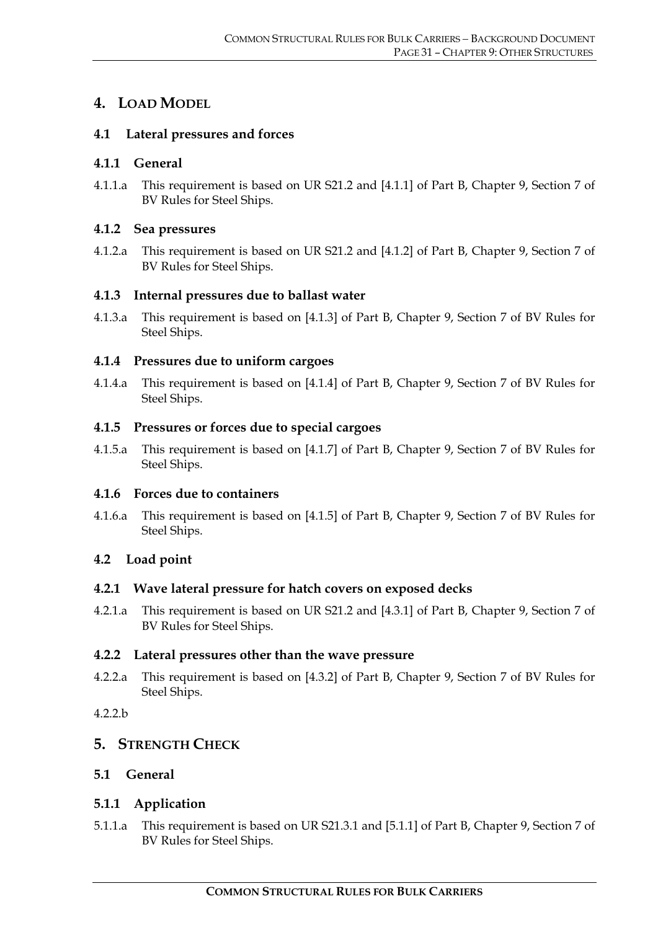# **4. LOAD MODEL**

# **4.1 Lateral pressures and forces**

# **4.1.1 General**

4.1.1.a This requirement is based on UR S21.2 and [4.1.1] of Part B, Chapter 9, Section 7 of BV Rules for Steel Ships.

# **4.1.2 Sea pressures**

4.1.2.a This requirement is based on UR S21.2 and [4.1.2] of Part B, Chapter 9, Section 7 of BV Rules for Steel Ships.

# **4.1.3 Internal pressures due to ballast water**

4.1.3.a This requirement is based on [4.1.3] of Part B, Chapter 9, Section 7 of BV Rules for Steel Ships.

# **4.1.4 Pressures due to uniform cargoes**

4.1.4.a This requirement is based on [4.1.4] of Part B, Chapter 9, Section 7 of BV Rules for Steel Ships.

# **4.1.5 Pressures or forces due to special cargoes**

4.1.5.a This requirement is based on [4.1.7] of Part B, Chapter 9, Section 7 of BV Rules for Steel Ships.

# **4.1.6 Forces due to containers**

4.1.6.a This requirement is based on [4.1.5] of Part B, Chapter 9, Section 7 of BV Rules for Steel Ships.

# **4.2 Load point**

# **4.2.1 Wave lateral pressure for hatch covers on exposed decks**

4.2.1.a This requirement is based on UR S21.2 and [4.3.1] of Part B, Chapter 9, Section 7 of BV Rules for Steel Ships.

# **4.2.2 Lateral pressures other than the wave pressure**

4.2.2.a This requirement is based on [4.3.2] of Part B, Chapter 9, Section 7 of BV Rules for Steel Ships.

# 4.2.2.b

# **5. STRENGTH CHECK**

# **5.1 General**

# **5.1.1 Application**

5.1.1.a This requirement is based on UR S21.3.1 and [5.1.1] of Part B, Chapter 9, Section 7 of BV Rules for Steel Ships.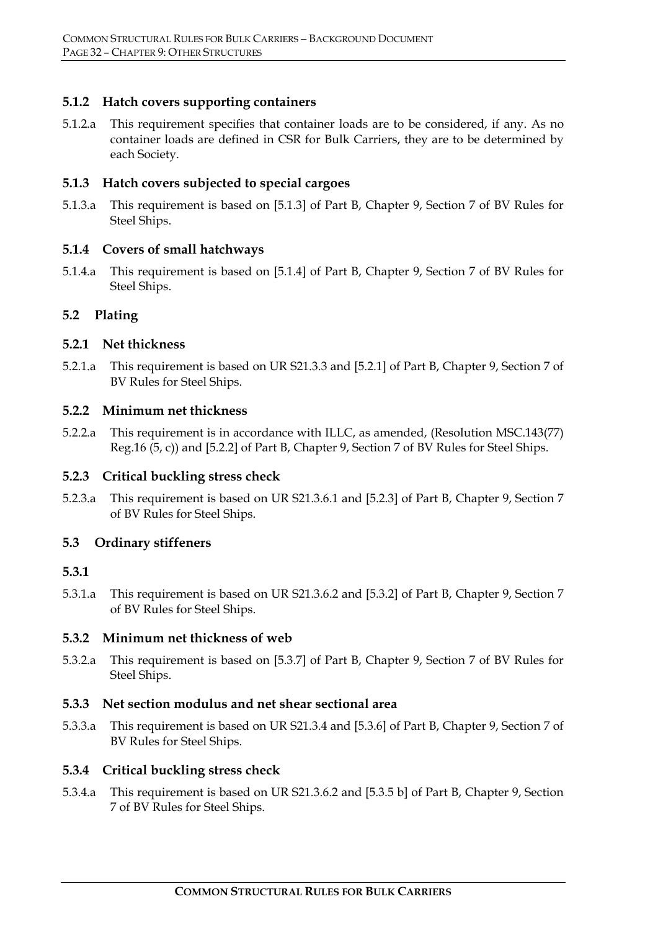# **5.1.2 Hatch covers supporting containers**

5.1.2.a This requirement specifies that container loads are to be considered, if any. As no container loads are defined in CSR for Bulk Carriers, they are to be determined by each Society.

#### **5.1.3 Hatch covers subjected to special cargoes**

5.1.3.a This requirement is based on [5.1.3] of Part B, Chapter 9, Section 7 of BV Rules for Steel Ships.

#### **5.1.4 Covers of small hatchways**

5.1.4.a This requirement is based on [5.1.4] of Part B, Chapter 9, Section 7 of BV Rules for Steel Ships.

# **5.2 Plating**

#### **5.2.1 Net thickness**

5.2.1.a This requirement is based on UR S21.3.3 and [5.2.1] of Part B, Chapter 9, Section 7 of BV Rules for Steel Ships.

# **5.2.2 Minimum net thickness**

5.2.2.a This requirement is in accordance with ILLC, as amended, (Resolution MSC.143(77) Reg.16 (5, c)) and [5.2.2] of Part B, Chapter 9, Section 7 of BV Rules for Steel Ships.

# **5.2.3 Critical buckling stress check**

5.2.3.a This requirement is based on UR S21.3.6.1 and [5.2.3] of Part B, Chapter 9, Section 7 of BV Rules for Steel Ships.

#### **5.3 Ordinary stiffeners**

# **5.3.1**

5.3.1.a This requirement is based on UR S21.3.6.2 and [5.3.2] of Part B, Chapter 9, Section 7 of BV Rules for Steel Ships.

# **5.3.2 Minimum net thickness of web**

5.3.2.a This requirement is based on [5.3.7] of Part B, Chapter 9, Section 7 of BV Rules for Steel Ships.

#### **5.3.3 Net section modulus and net shear sectional area**

5.3.3.a This requirement is based on UR S21.3.4 and [5.3.6] of Part B, Chapter 9, Section 7 of BV Rules for Steel Ships.

#### **5.3.4 Critical buckling stress check**

5.3.4.a This requirement is based on UR S21.3.6.2 and [5.3.5 b] of Part B, Chapter 9, Section 7 of BV Rules for Steel Ships.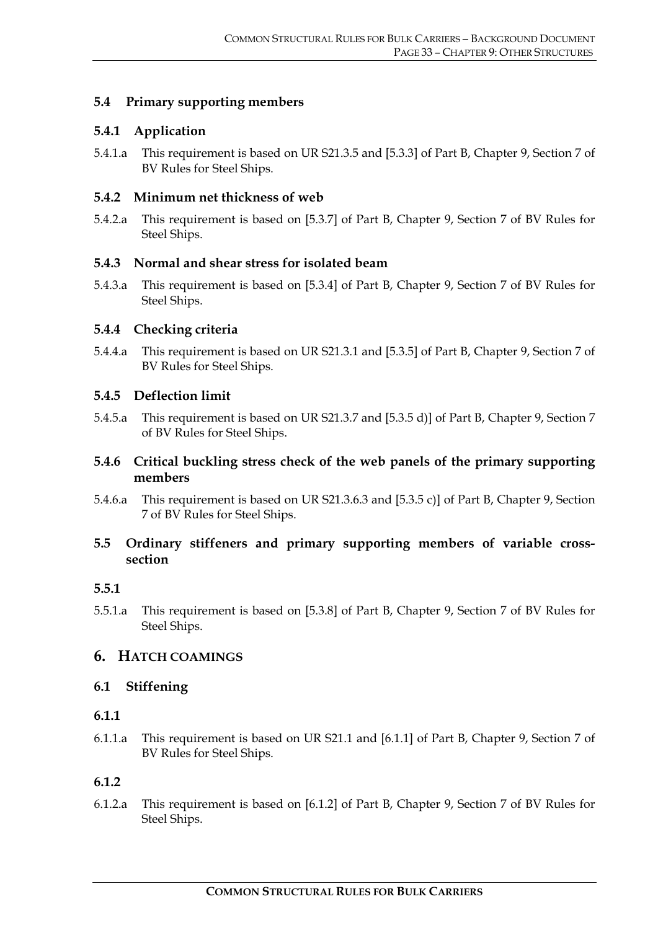# **5.4 Primary supporting members**

# **5.4.1 Application**

5.4.1.a This requirement is based on UR S21.3.5 and [5.3.3] of Part B, Chapter 9, Section 7 of BV Rules for Steel Ships.

# **5.4.2 Minimum net thickness of web**

5.4.2.a This requirement is based on [5.3.7] of Part B, Chapter 9, Section 7 of BV Rules for Steel Ships.

# **5.4.3 Normal and shear stress for isolated beam**

5.4.3.a This requirement is based on [5.3.4] of Part B, Chapter 9, Section 7 of BV Rules for Steel Ships.

# **5.4.4 Checking criteria**

5.4.4.a This requirement is based on UR S21.3.1 and [5.3.5] of Part B, Chapter 9, Section 7 of BV Rules for Steel Ships.

# **5.4.5 Deflection limit**

5.4.5.a This requirement is based on UR S21.3.7 and [5.3.5 d)] of Part B, Chapter 9, Section 7 of BV Rules for Steel Ships.

# **5.4.6 Critical buckling stress check of the web panels of the primary supporting members**

5.4.6.a This requirement is based on UR S21.3.6.3 and [5.3.5 c)] of Part B, Chapter 9, Section 7 of BV Rules for Steel Ships.

# **5.5 Ordinary stiffeners and primary supporting members of variable crosssection**

# **5.5.1**

5.5.1.a This requirement is based on [5.3.8] of Part B, Chapter 9, Section 7 of BV Rules for Steel Ships.

# **6. HATCH COAMINGS**

# **6.1 Stiffening**

# **6.1.1**

6.1.1.a This requirement is based on UR S21.1 and [6.1.1] of Part B, Chapter 9, Section 7 of BV Rules for Steel Ships.

# **6.1.2**

6.1.2.a This requirement is based on [6.1.2] of Part B, Chapter 9, Section 7 of BV Rules for Steel Ships.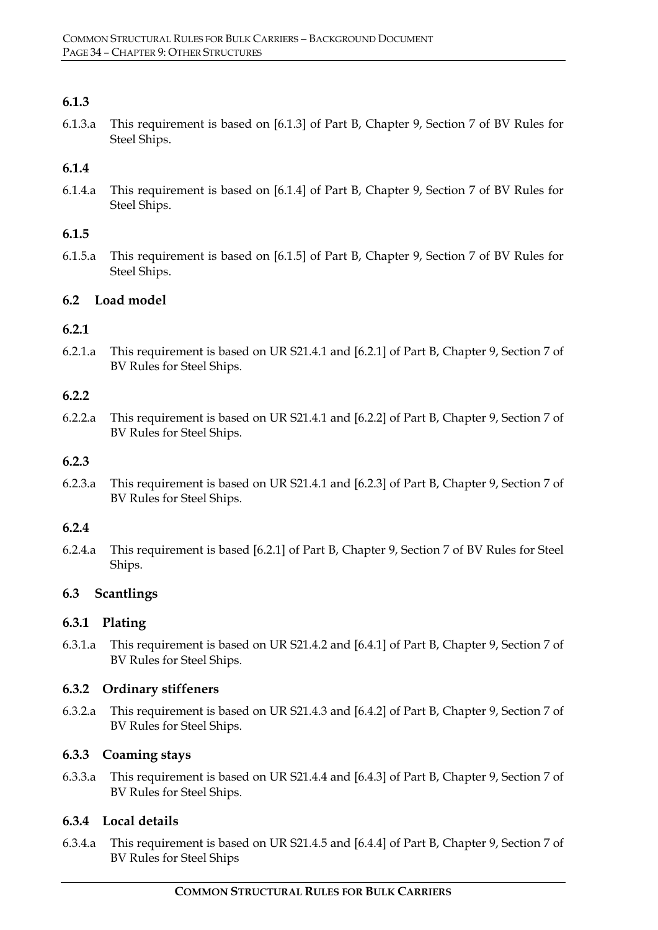# **6.1.3**

6.1.3.a This requirement is based on [6.1.3] of Part B, Chapter 9, Section 7 of BV Rules for Steel Ships.

# **6.1.4**

6.1.4.a This requirement is based on [6.1.4] of Part B, Chapter 9, Section 7 of BV Rules for Steel Ships.

# **6.1.5**

6.1.5.a This requirement is based on [6.1.5] of Part B, Chapter 9, Section 7 of BV Rules for Steel Ships.

# **6.2 Load model**

# **6.2.1**

6.2.1.a This requirement is based on UR S21.4.1 and [6.2.1] of Part B, Chapter 9, Section 7 of BV Rules for Steel Ships.

# **6.2.2**

6.2.2.a This requirement is based on UR S21.4.1 and [6.2.2] of Part B, Chapter 9, Section 7 of BV Rules for Steel Ships.

# **6.2.3**

6.2.3.a This requirement is based on UR S21.4.1 and [6.2.3] of Part B, Chapter 9, Section 7 of BV Rules for Steel Ships.

# **6.2.4**

6.2.4.a This requirement is based [6.2.1] of Part B, Chapter 9, Section 7 of BV Rules for Steel Ships.

# **6.3 Scantlings**

# **6.3.1 Plating**

6.3.1.a This requirement is based on UR S21.4.2 and [6.4.1] of Part B, Chapter 9, Section 7 of BV Rules for Steel Ships.

# **6.3.2 Ordinary stiffeners**

6.3.2.a This requirement is based on UR S21.4.3 and [6.4.2] of Part B, Chapter 9, Section 7 of BV Rules for Steel Ships.

# **6.3.3 Coaming stays**

6.3.3.a This requirement is based on UR S21.4.4 and [6.4.3] of Part B, Chapter 9, Section 7 of BV Rules for Steel Ships.

# **6.3.4 Local details**

6.3.4.a This requirement is based on UR S21.4.5 and [6.4.4] of Part B, Chapter 9, Section 7 of BV Rules for Steel Ships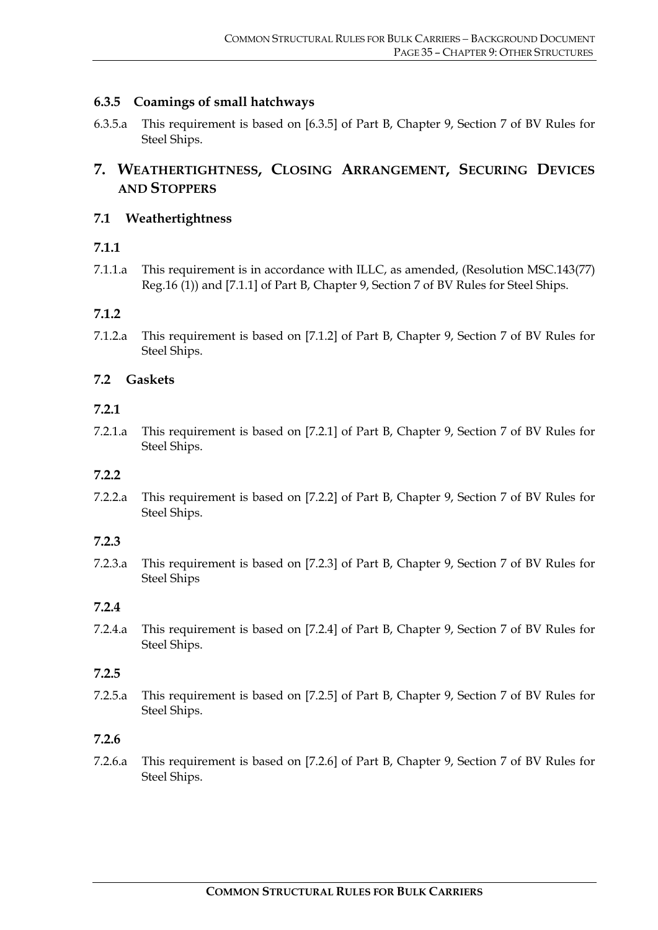# **6.3.5 Coamings of small hatchways**

6.3.5.a This requirement is based on [6.3.5] of Part B, Chapter 9, Section 7 of BV Rules for Steel Ships.

# **7. WEATHERTIGHTNESS, CLOSING ARRANGEMENT, SECURING DEVICES AND STOPPERS**

# **7.1 Weathertightness**

# **7.1.1**

7.1.1.a This requirement is in accordance with ILLC, as amended, (Resolution MSC.143(77) Reg.16 (1)) and [7.1.1] of Part B, Chapter 9, Section 7 of BV Rules for Steel Ships.

# **7.1.2**

7.1.2.a This requirement is based on [7.1.2] of Part B, Chapter 9, Section 7 of BV Rules for Steel Ships.

# **7.2 Gaskets**

# **7.2.1**

7.2.1.a This requirement is based on [7.2.1] of Part B, Chapter 9, Section 7 of BV Rules for Steel Ships.

# **7.2.2**

7.2.2.a This requirement is based on [7.2.2] of Part B, Chapter 9, Section 7 of BV Rules for Steel Ships.

# **7.2.3**

7.2.3.a This requirement is based on [7.2.3] of Part B, Chapter 9, Section 7 of BV Rules for Steel Ships

# **7.2.4**

7.2.4.a This requirement is based on [7.2.4] of Part B, Chapter 9, Section 7 of BV Rules for Steel Ships.

# **7.2.5**

7.2.5.a This requirement is based on [7.2.5] of Part B, Chapter 9, Section 7 of BV Rules for Steel Ships.

# **7.2.6**

7.2.6.a This requirement is based on [7.2.6] of Part B, Chapter 9, Section 7 of BV Rules for Steel Ships.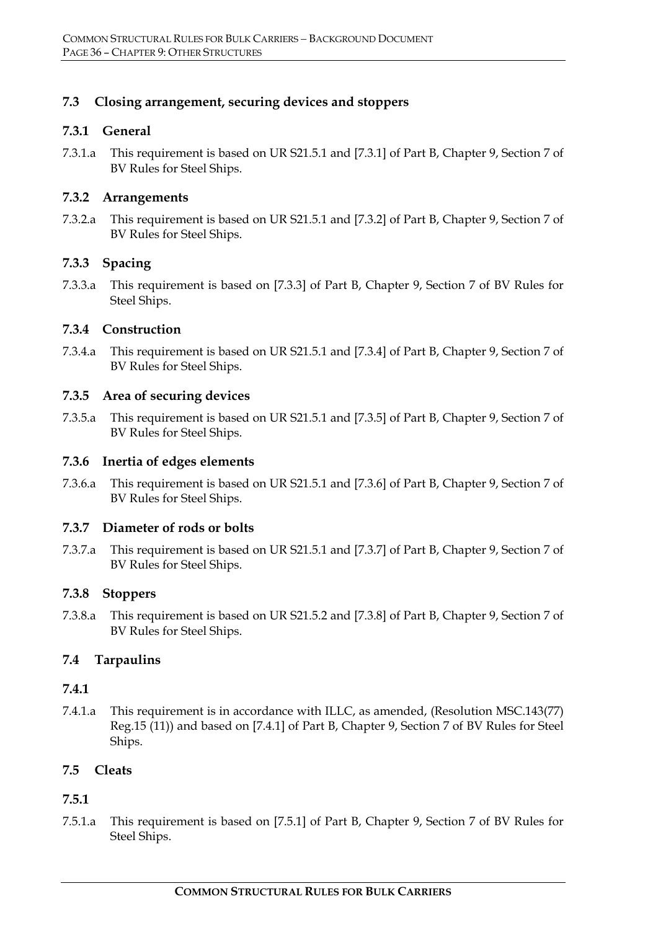# **7.3 Closing arrangement, securing devices and stoppers**

#### **7.3.1 General**

7.3.1.a This requirement is based on UR S21.5.1 and [7.3.1] of Part B, Chapter 9, Section 7 of BV Rules for Steel Ships.

#### **7.3.2 Arrangements**

7.3.2.a This requirement is based on UR S21.5.1 and [7.3.2] of Part B, Chapter 9, Section 7 of BV Rules for Steel Ships.

# **7.3.3 Spacing**

7.3.3.a This requirement is based on [7.3.3] of Part B, Chapter 9, Section 7 of BV Rules for Steel Ships.

#### **7.3.4 Construction**

7.3.4.a This requirement is based on UR S21.5.1 and [7.3.4] of Part B, Chapter 9, Section 7 of BV Rules for Steel Ships.

#### **7.3.5 Area of securing devices**

7.3.5.a This requirement is based on UR S21.5.1 and [7.3.5] of Part B, Chapter 9, Section 7 of BV Rules for Steel Ships.

#### **7.3.6 Inertia of edges elements**

7.3.6.a This requirement is based on UR S21.5.1 and [7.3.6] of Part B, Chapter 9, Section 7 of BV Rules for Steel Ships.

#### **7.3.7 Diameter of rods or bolts**

7.3.7.a This requirement is based on UR S21.5.1 and [7.3.7] of Part B, Chapter 9, Section 7 of BV Rules for Steel Ships.

# **7.3.8 Stoppers**

7.3.8.a This requirement is based on UR S21.5.2 and [7.3.8] of Part B, Chapter 9, Section 7 of BV Rules for Steel Ships.

# **7.4 Tarpaulins**

#### **7.4.1**

7.4.1.a This requirement is in accordance with ILLC, as amended, (Resolution MSC.143(77) Reg.15 (11)) and based on [7.4.1] of Part B, Chapter 9, Section 7 of BV Rules for Steel Ships.

# **7.5 Cleats**

# **7.5.1**

7.5.1.a This requirement is based on [7.5.1] of Part B, Chapter 9, Section 7 of BV Rules for Steel Ships.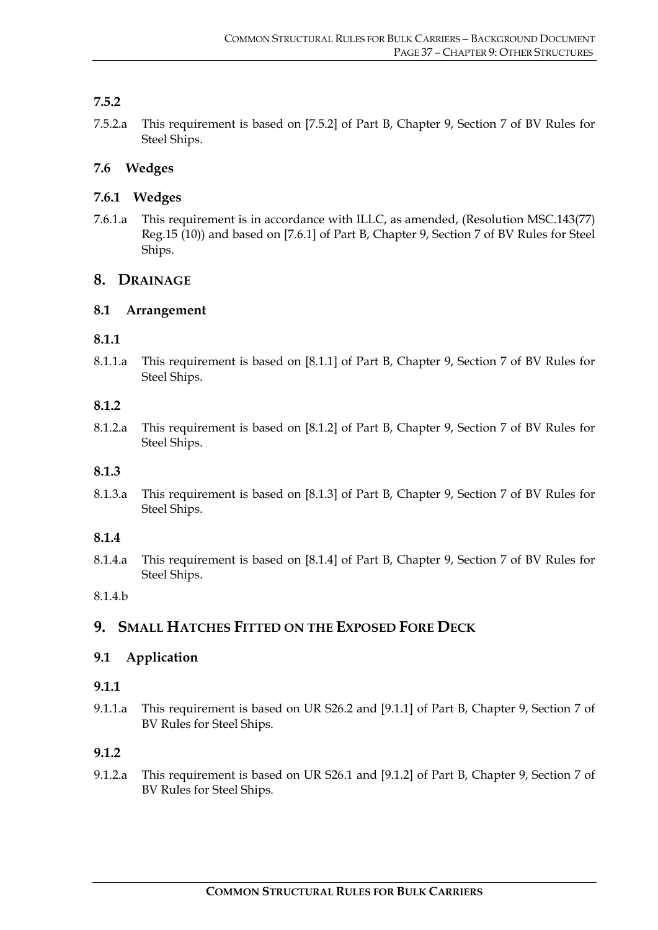# **7.5.2**

7.5.2.a This requirement is based on [7.5.2] of Part B, Chapter 9, Section 7 of BV Rules for Steel Ships.

# **7.6 Wedges**

# **7.6.1 Wedges**

7.6.1.a This requirement is in accordance with ILLC, as amended, (Resolution MSC.143(77) Reg.15 (10)) and based on [7.6.1] of Part B, Chapter 9, Section 7 of BV Rules for Steel Ships.

# **8. DRAINAGE**

# **8.1 Arrangement**

#### **8.1.1**

8.1.1.a This requirement is based on [8.1.1] of Part B, Chapter 9, Section 7 of BV Rules for Steel Ships.

#### **8.1.2**

8.1.2.a This requirement is based on [8.1.2] of Part B, Chapter 9, Section 7 of BV Rules for Steel Ships.

#### **8.1.3**

8.1.3.a This requirement is based on [8.1.3] of Part B, Chapter 9, Section 7 of BV Rules for Steel Ships.

# **8.1.4**

8.1.4.a This requirement is based on [8.1.4] of Part B, Chapter 9, Section 7 of BV Rules for Steel Ships.

#### 8.1.4.b

# **9. SMALL HATCHES FITTED ON THE EXPOSED FORE DECK**

# **9.1 Application**

#### **9.1.1**

9.1.1.a This requirement is based on UR S26.2 and [9.1.1] of Part B, Chapter 9, Section 7 of BV Rules for Steel Ships.

# **9.1.2**

9.1.2.a This requirement is based on UR S26.1 and [9.1.2] of Part B, Chapter 9, Section 7 of BV Rules for Steel Ships.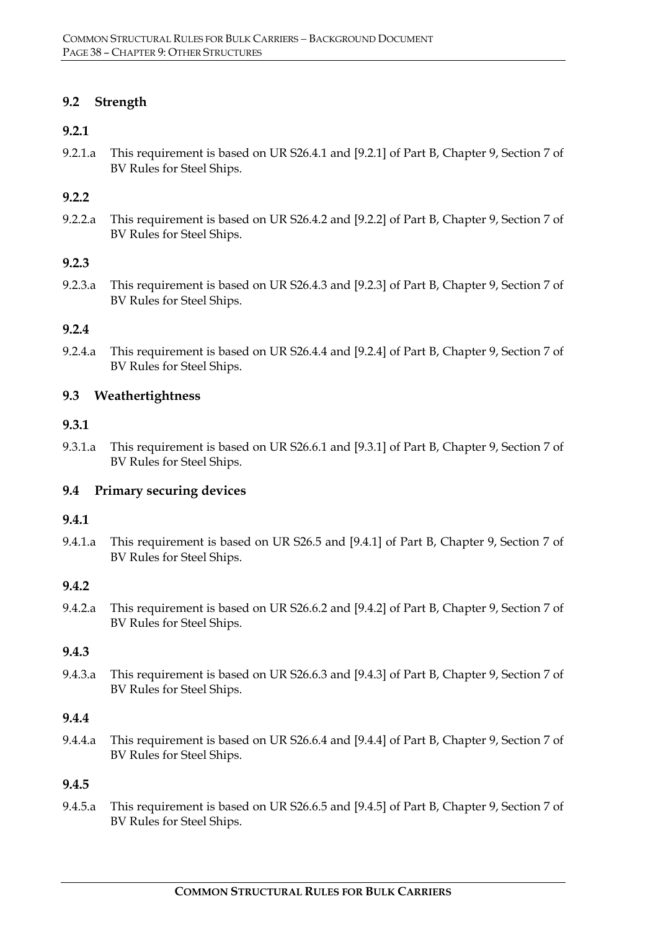# **9.2 Strength**

#### **9.2.1**

9.2.1.a This requirement is based on UR S26.4.1 and [9.2.1] of Part B, Chapter 9, Section 7 of BV Rules for Steel Ships.

#### **9.2.2**

9.2.2.a This requirement is based on UR S26.4.2 and [9.2.2] of Part B, Chapter 9, Section 7 of BV Rules for Steel Ships.

#### **9.2.3**

9.2.3.a This requirement is based on UR S26.4.3 and [9.2.3] of Part B, Chapter 9, Section 7 of BV Rules for Steel Ships.

#### **9.2.4**

9.2.4.a This requirement is based on UR S26.4.4 and [9.2.4] of Part B, Chapter 9, Section 7 of BV Rules for Steel Ships.

#### **9.3 Weathertightness**

#### **9.3.1**

9.3.1.a This requirement is based on UR S26.6.1 and [9.3.1] of Part B, Chapter 9, Section 7 of BV Rules for Steel Ships.

# **9.4 Primary securing devices**

#### **9.4.1**

9.4.1.a This requirement is based on UR S26.5 and [9.4.1] of Part B, Chapter 9, Section 7 of BV Rules for Steel Ships.

#### **9.4.2**

9.4.2.a This requirement is based on UR S26.6.2 and [9.4.2] of Part B, Chapter 9, Section 7 of BV Rules for Steel Ships.

#### **9.4.3**

9.4.3.a This requirement is based on UR S26.6.3 and [9.4.3] of Part B, Chapter 9, Section 7 of BV Rules for Steel Ships.

#### **9.4.4**

9.4.4.a This requirement is based on UR S26.6.4 and [9.4.4] of Part B, Chapter 9, Section 7 of BV Rules for Steel Ships.

#### **9.4.5**

9.4.5.a This requirement is based on UR S26.6.5 and [9.4.5] of Part B, Chapter 9, Section 7 of BV Rules for Steel Ships.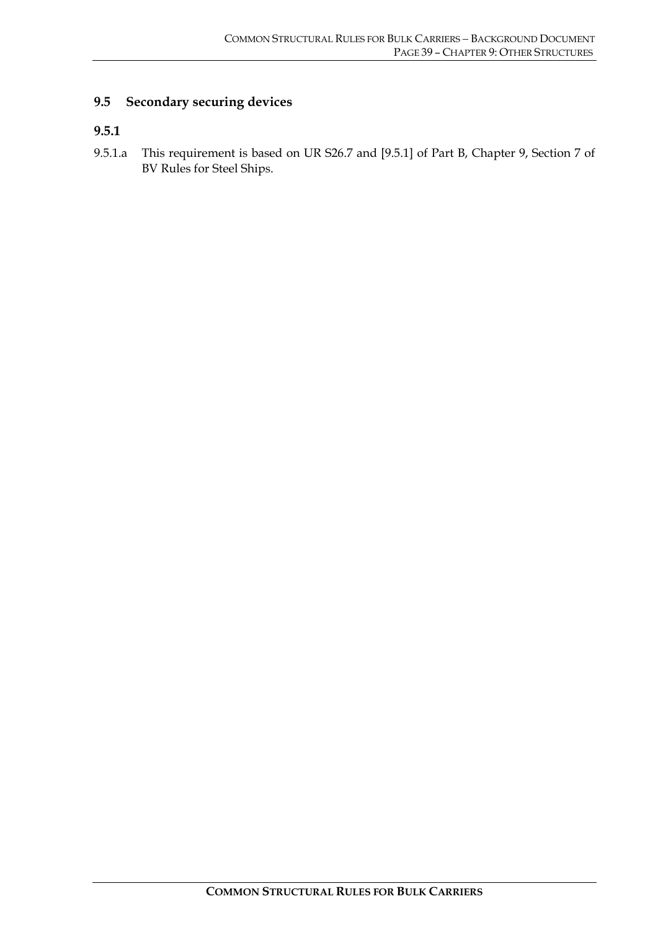# **9.5 Secondary securing devices**

#### **9.5.1**

9.5.1.a This requirement is based on UR S26.7 and [9.5.1] of Part B, Chapter 9, Section 7 of BV Rules for Steel Ships.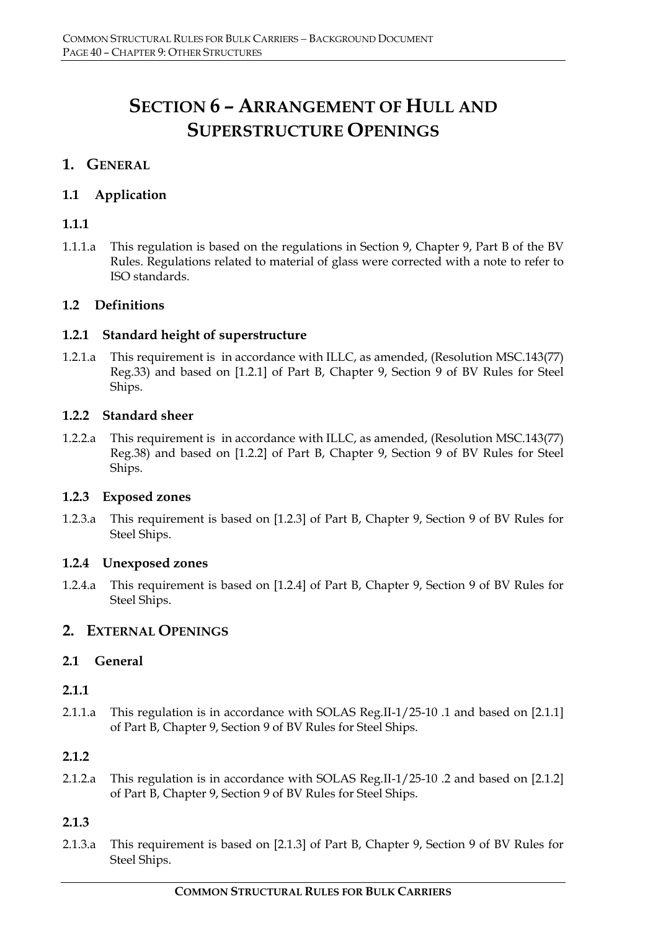# **SECTION 6 – ARRANGEMENT OF HULL AND SUPERSTRUCTURE OPENINGS**

# **1. GENERAL**

# **1.1 Application**

# **1.1.1**

1.1.1.a This regulation is based on the regulations in Section 9, Chapter 9, Part B of the BV Rules. Regulations related to material of glass were corrected with a note to refer to ISO standards.

# **1.2 Definitions**

# **1.2.1 Standard height of superstructure**

1.2.1.a This requirement is in accordance with ILLC, as amended, (Resolution MSC.143(77) Reg.33) and based on [1.2.1] of Part B, Chapter 9, Section 9 of BV Rules for Steel Ships.

# **1.2.2 Standard sheer**

1.2.2.a This requirement is in accordance with ILLC, as amended, (Resolution MSC.143(77) Reg.38) and based on [1.2.2] of Part B, Chapter 9, Section 9 of BV Rules for Steel Ships.

# **1.2.3 Exposed zones**

1.2.3.a This requirement is based on [1.2.3] of Part B, Chapter 9, Section 9 of BV Rules for Steel Ships.

# **1.2.4 Unexposed zones**

1.2.4.a This requirement is based on [1.2.4] of Part B, Chapter 9, Section 9 of BV Rules for Steel Ships.

# **2. EXTERNAL OPENINGS**

# **2.1 General**

# **2.1.1**

2.1.1.a This regulation is in accordance with SOLAS Reg.II-1/25-10 .1 and based on [2.1.1] of Part B, Chapter 9, Section 9 of BV Rules for Steel Ships.

# **2.1.2**

2.1.2.a This regulation is in accordance with SOLAS Reg.II-1/25-10 .2 and based on [2.1.2] of Part B, Chapter 9, Section 9 of BV Rules for Steel Ships.

# **2.1.3**

2.1.3.a This requirement is based on [2.1.3] of Part B, Chapter 9, Section 9 of BV Rules for Steel Ships.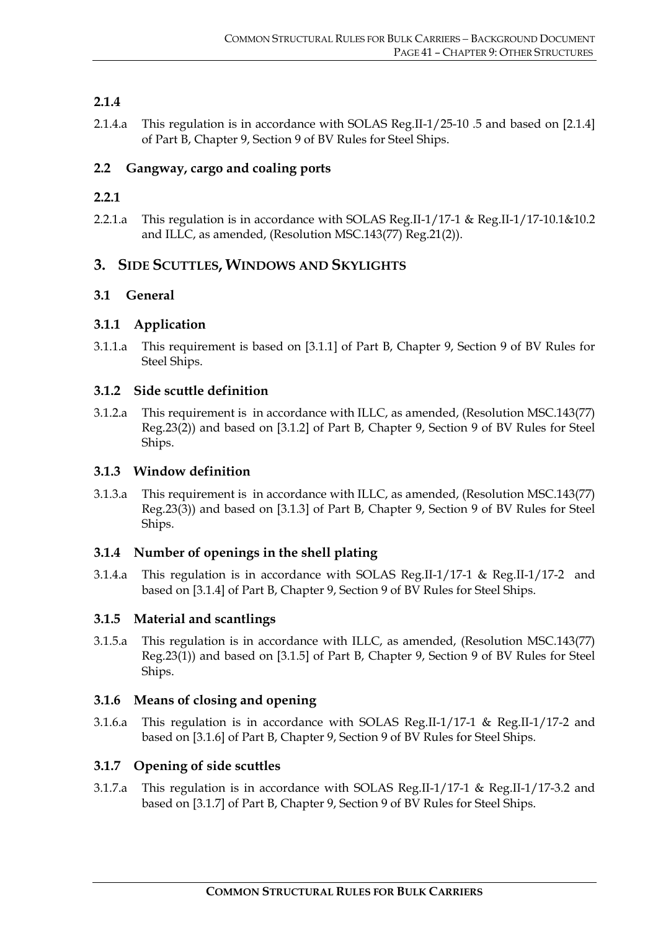# **2.1.4**

2.1.4.a This regulation is in accordance with SOLAS Reg.II-1/25-10 .5 and based on [2.1.4] of Part B, Chapter 9, Section 9 of BV Rules for Steel Ships.

# **2.2 Gangway, cargo and coaling ports**

# **2.2.1**

2.2.1.a This regulation is in accordance with SOLAS Reg.II-1/17-1 & Reg.II-1/17-10.1&10.2 and ILLC, as amended, (Resolution MSC.143(77) Reg.21(2)).

# **3. SIDE SCUTTLES, WINDOWS AND SKYLIGHTS**

# **3.1 General**

# **3.1.1 Application**

3.1.1.a This requirement is based on [3.1.1] of Part B, Chapter 9, Section 9 of BV Rules for Steel Ships.

# **3.1.2 Side scuttle definition**

3.1.2.a This requirement is in accordance with ILLC, as amended, (Resolution MSC.143(77) Reg.23(2)) and based on [3.1.2] of Part B, Chapter 9, Section 9 of BV Rules for Steel Ships.

# **3.1.3 Window definition**

3.1.3.a This requirement is in accordance with ILLC, as amended, (Resolution MSC.143(77) Reg.23(3)) and based on [3.1.3] of Part B, Chapter 9, Section 9 of BV Rules for Steel Ships.

# **3.1.4 Number of openings in the shell plating**

3.1.4.a This regulation is in accordance with SOLAS Reg.II-1/17-1 & Reg.II-1/17-2 and based on [3.1.4] of Part B, Chapter 9, Section 9 of BV Rules for Steel Ships.

# **3.1.5 Material and scantlings**

3.1.5.a This regulation is in accordance with ILLC, as amended, (Resolution MSC.143(77) Reg.23(1)) and based on [3.1.5] of Part B, Chapter 9, Section 9 of BV Rules for Steel Ships.

# **3.1.6 Means of closing and opening**

3.1.6.a This regulation is in accordance with SOLAS Reg.II-1/17-1 & Reg.II-1/17-2 and based on [3.1.6] of Part B, Chapter 9, Section 9 of BV Rules for Steel Ships.

# **3.1.7 Opening of side scuttles**

3.1.7.a This regulation is in accordance with SOLAS Reg.II-1/17-1 & Reg.II-1/17-3.2 and based on [3.1.7] of Part B, Chapter 9, Section 9 of BV Rules for Steel Ships.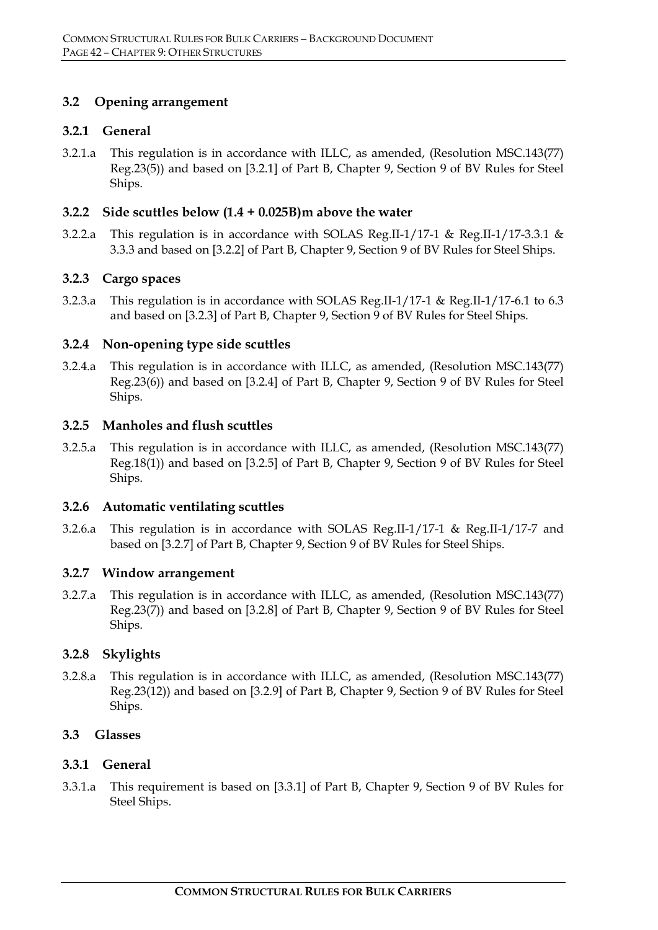# **3.2 Opening arrangement**

#### **3.2.1 General**

3.2.1.a This regulation is in accordance with ILLC, as amended, (Resolution MSC.143(77) Reg.23(5)) and based on [3.2.1] of Part B, Chapter 9, Section 9 of BV Rules for Steel Ships.

#### **3.2.2 Side scuttles below (1.4 + 0.025B)m above the water**

3.2.2.a This regulation is in accordance with SOLAS Reg.II-1/17-1 & Reg.II-1/17-3.3.1 & 3.3.3 and based on [3.2.2] of Part B, Chapter 9, Section 9 of BV Rules for Steel Ships.

#### **3.2.3 Cargo spaces**

3.2.3.a This regulation is in accordance with SOLAS Reg.II-1/17-1 & Reg.II-1/17-6.1 to 6.3 and based on [3.2.3] of Part B, Chapter 9, Section 9 of BV Rules for Steel Ships.

#### **3.2.4 Non-opening type side scuttles**

3.2.4.a This regulation is in accordance with ILLC, as amended, (Resolution MSC.143(77) Reg.23(6)) and based on [3.2.4] of Part B, Chapter 9, Section 9 of BV Rules for Steel Ships.

#### **3.2.5 Manholes and flush scuttles**

3.2.5.a This regulation is in accordance with ILLC, as amended, (Resolution MSC.143(77) Reg.18(1)) and based on [3.2.5] of Part B, Chapter 9, Section 9 of BV Rules for Steel Ships.

#### **3.2.6 Automatic ventilating scuttles**

3.2.6.a This regulation is in accordance with SOLAS Reg.II-1/17-1 & Reg.II-1/17-7 and based on [3.2.7] of Part B, Chapter 9, Section 9 of BV Rules for Steel Ships.

#### **3.2.7 Window arrangement**

3.2.7.a This regulation is in accordance with ILLC, as amended, (Resolution MSC.143(77) Reg.23(7)) and based on [3.2.8] of Part B, Chapter 9, Section 9 of BV Rules for Steel Ships.

# **3.2.8 Skylights**

3.2.8.a This regulation is in accordance with ILLC, as amended, (Resolution MSC.143(77) Reg.23(12)) and based on [3.2.9] of Part B, Chapter 9, Section 9 of BV Rules for Steel Ships.

# **3.3 Glasses**

# **3.3.1 General**

3.3.1.a This requirement is based on [3.3.1] of Part B, Chapter 9, Section 9 of BV Rules for Steel Ships.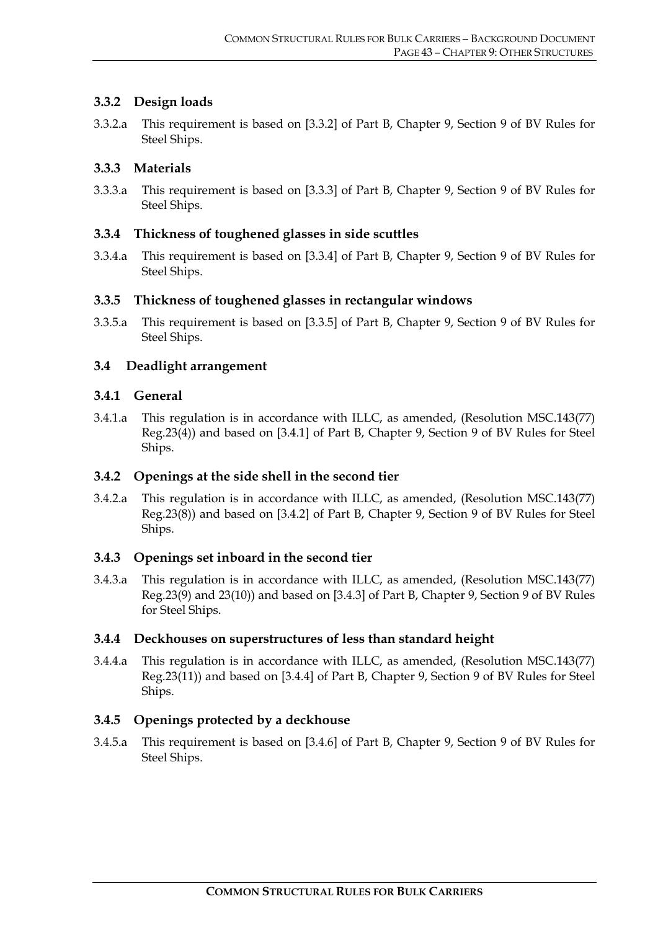# **3.3.2 Design loads**

3.3.2.a This requirement is based on [3.3.2] of Part B, Chapter 9, Section 9 of BV Rules for Steel Ships.

# **3.3.3 Materials**

3.3.3.a This requirement is based on [3.3.3] of Part B, Chapter 9, Section 9 of BV Rules for Steel Ships.

# **3.3.4 Thickness of toughened glasses in side scuttles**

3.3.4.a This requirement is based on [3.3.4] of Part B, Chapter 9, Section 9 of BV Rules for Steel Ships.

# **3.3.5 Thickness of toughened glasses in rectangular windows**

3.3.5.a This requirement is based on [3.3.5] of Part B, Chapter 9, Section 9 of BV Rules for Steel Ships.

# **3.4 Deadlight arrangement**

# **3.4.1 General**

3.4.1.a This regulation is in accordance with ILLC, as amended, (Resolution MSC.143(77) Reg.23(4)) and based on [3.4.1] of Part B, Chapter 9, Section 9 of BV Rules for Steel Ships.

# **3.4.2 Openings at the side shell in the second tier**

3.4.2.a This regulation is in accordance with ILLC, as amended, (Resolution MSC.143(77) Reg.23(8)) and based on [3.4.2] of Part B, Chapter 9, Section 9 of BV Rules for Steel Ships.

# **3.4.3 Openings set inboard in the second tier**

3.4.3.a This regulation is in accordance with ILLC, as amended, (Resolution MSC.143(77) Reg.23(9) and 23(10)) and based on [3.4.3] of Part B, Chapter 9, Section 9 of BV Rules for Steel Ships.

# **3.4.4 Deckhouses on superstructures of less than standard height**

3.4.4.a This regulation is in accordance with ILLC, as amended, (Resolution MSC.143(77) Reg.23(11)) and based on [3.4.4] of Part B, Chapter 9, Section 9 of BV Rules for Steel Ships.

# **3.4.5 Openings protected by a deckhouse**

3.4.5.a This requirement is based on [3.4.6] of Part B, Chapter 9, Section 9 of BV Rules for Steel Ships.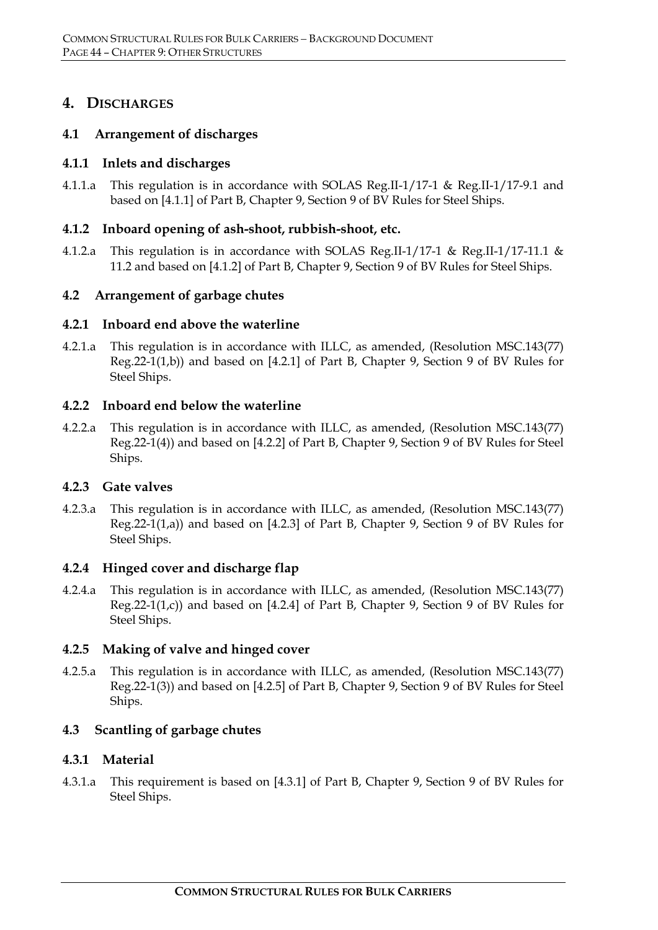# **4. DISCHARGES**

# **4.1 Arrangement of discharges**

# **4.1.1 Inlets and discharges**

4.1.1.a This regulation is in accordance with SOLAS Reg.II-1/17-1 & Reg.II-1/17-9.1 and based on [4.1.1] of Part B, Chapter 9, Section 9 of BV Rules for Steel Ships.

# **4.1.2 Inboard opening of ash-shoot, rubbish-shoot, etc.**

4.1.2.a This regulation is in accordance with SOLAS Reg.II-1/17-1 & Reg.II-1/17-11.1 & 11.2 and based on [4.1.2] of Part B, Chapter 9, Section 9 of BV Rules for Steel Ships.

# **4.2 Arrangement of garbage chutes**

# **4.2.1 Inboard end above the waterline**

4.2.1.a This regulation is in accordance with ILLC, as amended, (Resolution MSC.143(77) Reg.22-1(1,b)) and based on [4.2.1] of Part B, Chapter 9, Section 9 of BV Rules for Steel Ships.

# **4.2.2 Inboard end below the waterline**

4.2.2.a This regulation is in accordance with ILLC, as amended, (Resolution MSC.143(77) Reg.22-1(4)) and based on [4.2.2] of Part B, Chapter 9, Section 9 of BV Rules for Steel Ships.

# **4.2.3 Gate valves**

4.2.3.a This regulation is in accordance with ILLC, as amended, (Resolution MSC.143(77) Reg.22-1(1,a)) and based on [4.2.3] of Part B, Chapter 9, Section 9 of BV Rules for Steel Ships.

# **4.2.4 Hinged cover and discharge flap**

4.2.4.a This regulation is in accordance with ILLC, as amended, (Resolution MSC.143(77) Reg.22-1(1,c)) and based on [4.2.4] of Part B, Chapter 9, Section 9 of BV Rules for Steel Ships.

# **4.2.5 Making of valve and hinged cover**

4.2.5.a This regulation is in accordance with ILLC, as amended, (Resolution MSC.143(77) Reg.22-1(3)) and based on [4.2.5] of Part B, Chapter 9, Section 9 of BV Rules for Steel Ships.

# **4.3 Scantling of garbage chutes**

# **4.3.1 Material**

4.3.1.a This requirement is based on [4.3.1] of Part B, Chapter 9, Section 9 of BV Rules for Steel Ships.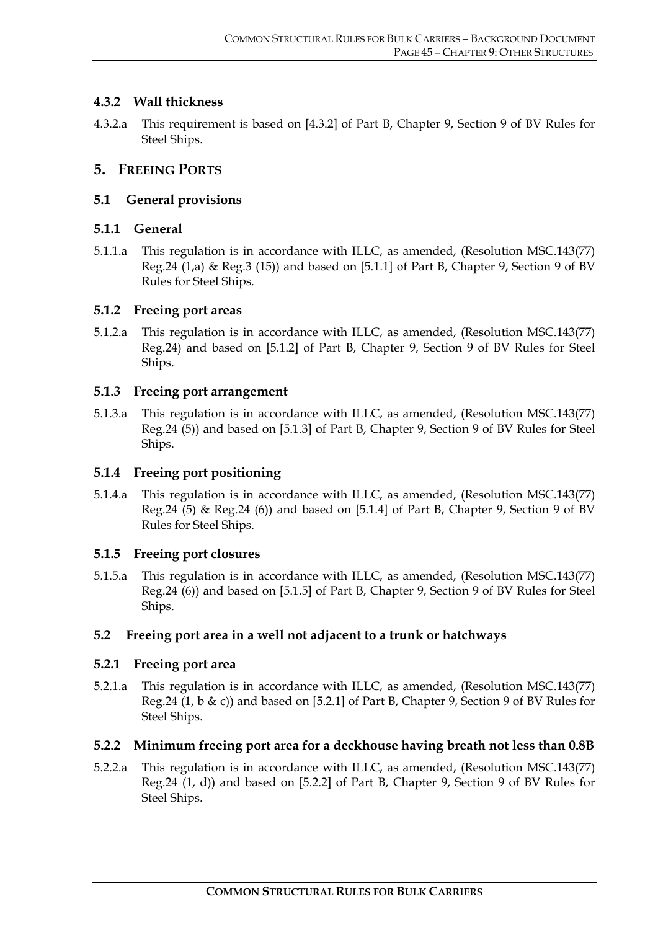# **4.3.2 Wall thickness**

4.3.2.a This requirement is based on [4.3.2] of Part B, Chapter 9, Section 9 of BV Rules for Steel Ships.

# **5. FREEING PORTS**

# **5.1 General provisions**

# **5.1.1 General**

5.1.1.a This regulation is in accordance with ILLC, as amended, (Resolution MSC.143(77) Reg.24 (1,a) & Reg.3 (15)) and based on [5.1.1] of Part B, Chapter 9, Section 9 of BV Rules for Steel Ships.

# **5.1.2 Freeing port areas**

5.1.2.a This regulation is in accordance with ILLC, as amended, (Resolution MSC.143(77) Reg.24) and based on [5.1.2] of Part B, Chapter 9, Section 9 of BV Rules for Steel Ships.

# **5.1.3 Freeing port arrangement**

5.1.3.a This regulation is in accordance with ILLC, as amended, (Resolution MSC.143(77) Reg.24 (5)) and based on [5.1.3] of Part B, Chapter 9, Section 9 of BV Rules for Steel Ships.

# **5.1.4 Freeing port positioning**

5.1.4.a This regulation is in accordance with ILLC, as amended, (Resolution MSC.143(77) Reg.24 (5) & Reg.24 (6)) and based on  $[5.1.4]$  of Part B, Chapter 9, Section 9 of BV Rules for Steel Ships.

# **5.1.5 Freeing port closures**

5.1.5.a This regulation is in accordance with ILLC, as amended, (Resolution MSC.143(77) Reg.24 (6)) and based on [5.1.5] of Part B, Chapter 9, Section 9 of BV Rules for Steel Ships.

# **5.2 Freeing port area in a well not adjacent to a trunk or hatchways**

# **5.2.1 Freeing port area**

5.2.1.a This regulation is in accordance with ILLC, as amended, (Resolution MSC.143(77) Reg.24 (1, b & c)) and based on [5.2.1] of Part B, Chapter 9, Section 9 of BV Rules for Steel Ships.

# **5.2.2 Minimum freeing port area for a deckhouse having breath not less than 0.8B**

5.2.2.a This regulation is in accordance with ILLC, as amended, (Resolution MSC.143(77) Reg.24 (1, d)) and based on [5.2.2] of Part B, Chapter 9, Section 9 of BV Rules for Steel Ships.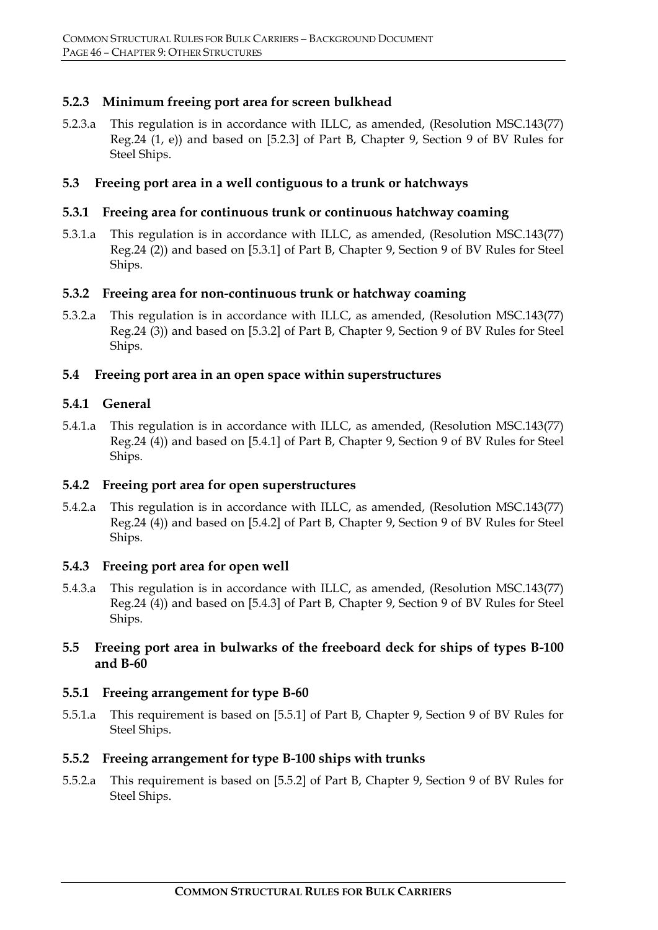# **5.2.3 Minimum freeing port area for screen bulkhead**

5.2.3.a This regulation is in accordance with ILLC, as amended, (Resolution MSC.143(77) Reg.24 (1, e)) and based on [5.2.3] of Part B, Chapter 9, Section 9 of BV Rules for Steel Ships.

#### **5.3 Freeing port area in a well contiguous to a trunk or hatchways**

#### **5.3.1 Freeing area for continuous trunk or continuous hatchway coaming**

5.3.1.a This regulation is in accordance with ILLC, as amended, (Resolution MSC.143(77) Reg.24 (2)) and based on [5.3.1] of Part B, Chapter 9, Section 9 of BV Rules for Steel Ships.

#### **5.3.2 Freeing area for non-continuous trunk or hatchway coaming**

5.3.2.a This regulation is in accordance with ILLC, as amended, (Resolution MSC.143(77) Reg.24 (3)) and based on [5.3.2] of Part B, Chapter 9, Section 9 of BV Rules for Steel Ships.

#### **5.4 Freeing port area in an open space within superstructures**

#### **5.4.1 General**

5.4.1.a This regulation is in accordance with ILLC, as amended, (Resolution MSC.143(77) Reg.24 (4)) and based on [5.4.1] of Part B, Chapter 9, Section 9 of BV Rules for Steel Ships.

#### **5.4.2 Freeing port area for open superstructures**

5.4.2.a This regulation is in accordance with ILLC, as amended, (Resolution MSC.143(77) Reg.24 (4)) and based on [5.4.2] of Part B, Chapter 9, Section 9 of BV Rules for Steel Ships.

#### **5.4.3 Freeing port area for open well**

5.4.3.a This regulation is in accordance with ILLC, as amended, (Resolution MSC.143(77) Reg.24 (4)) and based on [5.4.3] of Part B, Chapter 9, Section 9 of BV Rules for Steel Ships.

# **5.5 Freeing port area in bulwarks of the freeboard deck for ships of types B-100 and B-60**

# **5.5.1 Freeing arrangement for type B-60**

5.5.1.a This requirement is based on [5.5.1] of Part B, Chapter 9, Section 9 of BV Rules for Steel Ships.

# **5.5.2 Freeing arrangement for type B-100 ships with trunks**

5.5.2.a This requirement is based on [5.5.2] of Part B, Chapter 9, Section 9 of BV Rules for Steel Ships.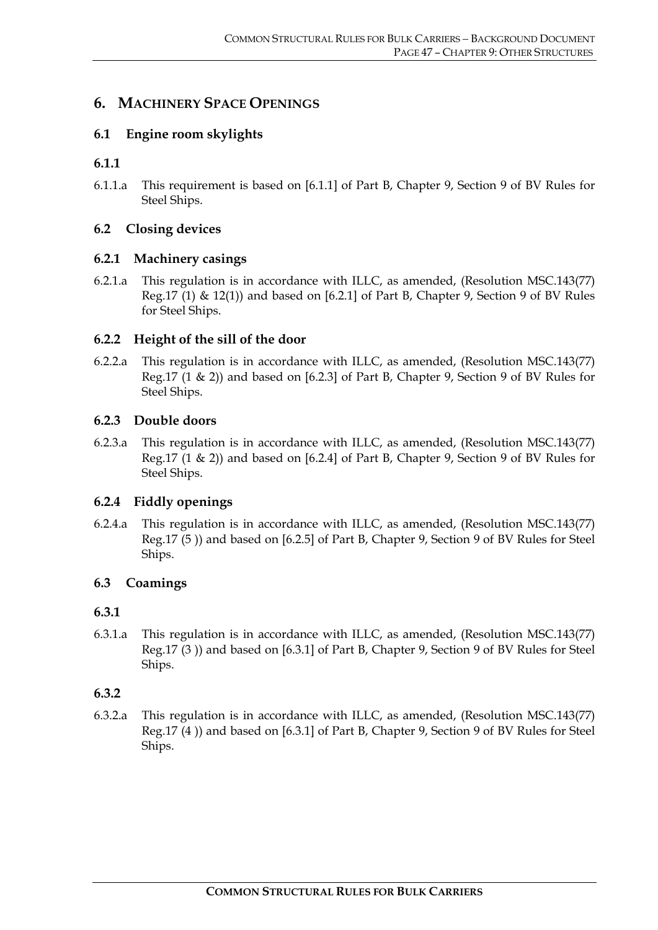# **6. MACHINERY SPACE OPENINGS**

# **6.1 Engine room skylights**

# **6.1.1**

6.1.1.a This requirement is based on [6.1.1] of Part B, Chapter 9, Section 9 of BV Rules for Steel Ships.

# **6.2 Closing devices**

# **6.2.1 Machinery casings**

6.2.1.a This regulation is in accordance with ILLC, as amended, (Resolution MSC.143(77) Reg.17 (1) & 12(1)) and based on [6.2.1] of Part B, Chapter 9, Section 9 of BV Rules for Steel Ships.

# **6.2.2 Height of the sill of the door**

6.2.2.a This regulation is in accordance with ILLC, as amended, (Resolution MSC.143(77) Reg.17 (1 & 2)) and based on [6.2.3] of Part B, Chapter 9, Section 9 of BV Rules for Steel Ships.

#### **6.2.3 Double doors**

6.2.3.a This regulation is in accordance with ILLC, as amended, (Resolution MSC.143(77) Reg.17 (1 & 2)) and based on [6.2.4] of Part B, Chapter 9, Section 9 of BV Rules for Steel Ships.

# **6.2.4 Fiddly openings**

6.2.4.a This regulation is in accordance with ILLC, as amended, (Resolution MSC.143(77) Reg.17 (5 )) and based on [6.2.5] of Part B, Chapter 9, Section 9 of BV Rules for Steel Ships.

# **6.3 Coamings**

# **6.3.1**

6.3.1.a This regulation is in accordance with ILLC, as amended, (Resolution MSC.143(77) Reg.17 (3 )) and based on [6.3.1] of Part B, Chapter 9, Section 9 of BV Rules for Steel Ships.

# **6.3.2**

6.3.2.a This regulation is in accordance with ILLC, as amended, (Resolution MSC.143(77) Reg.17 (4 )) and based on [6.3.1] of Part B, Chapter 9, Section 9 of BV Rules for Steel Ships.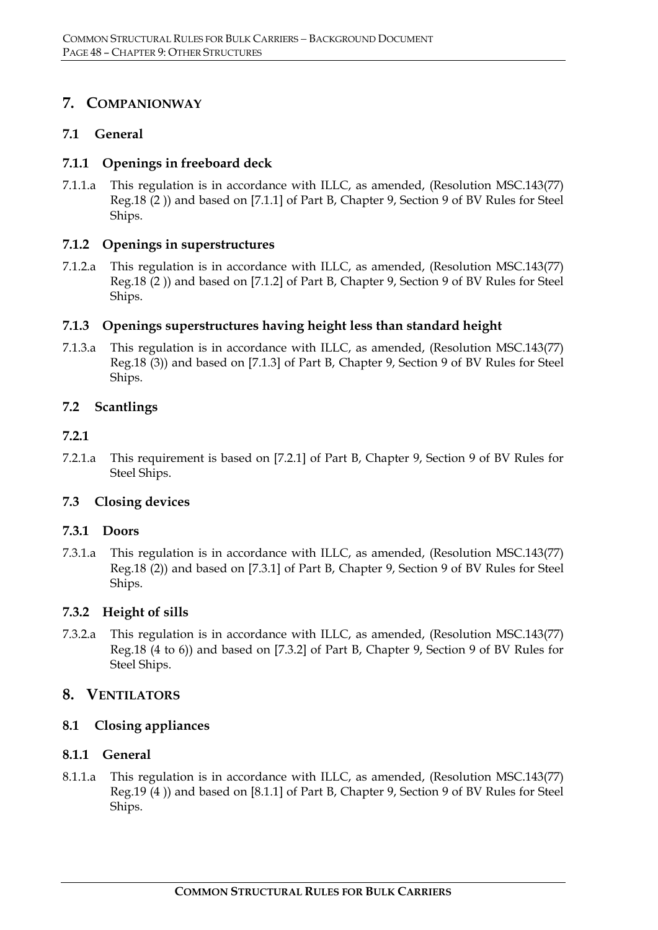# **7. COMPANIONWAY**

# **7.1 General**

# **7.1.1 Openings in freeboard deck**

7.1.1.a This regulation is in accordance with ILLC, as amended, (Resolution MSC.143(77) Reg.18 (2 )) and based on [7.1.1] of Part B, Chapter 9, Section 9 of BV Rules for Steel Ships.

# **7.1.2 Openings in superstructures**

7.1.2.a This regulation is in accordance with ILLC, as amended, (Resolution MSC.143(77) Reg.18 (2 )) and based on [7.1.2] of Part B, Chapter 9, Section 9 of BV Rules for Steel Ships.

# **7.1.3 Openings superstructures having height less than standard height**

7.1.3.a This regulation is in accordance with ILLC, as amended, (Resolution MSC.143(77) Reg.18 (3)) and based on [7.1.3] of Part B, Chapter 9, Section 9 of BV Rules for Steel Ships.

# **7.2 Scantlings**

# **7.2.1**

7.2.1.a This requirement is based on [7.2.1] of Part B, Chapter 9, Section 9 of BV Rules for Steel Ships.

# **7.3 Closing devices**

# **7.3.1 Doors**

7.3.1.a This regulation is in accordance with ILLC, as amended, (Resolution MSC.143(77) Reg.18 (2)) and based on [7.3.1] of Part B, Chapter 9, Section 9 of BV Rules for Steel Ships.

# **7.3.2 Height of sills**

7.3.2.a This regulation is in accordance with ILLC, as amended, (Resolution MSC.143(77) Reg.18 (4 to 6)) and based on [7.3.2] of Part B, Chapter 9, Section 9 of BV Rules for Steel Ships.

# **8. VENTILATORS**

# **8.1 Closing appliances**

# **8.1.1 General**

8.1.1.a This regulation is in accordance with ILLC, as amended, (Resolution MSC.143(77) Reg.19 (4 )) and based on [8.1.1] of Part B, Chapter 9, Section 9 of BV Rules for Steel Ships.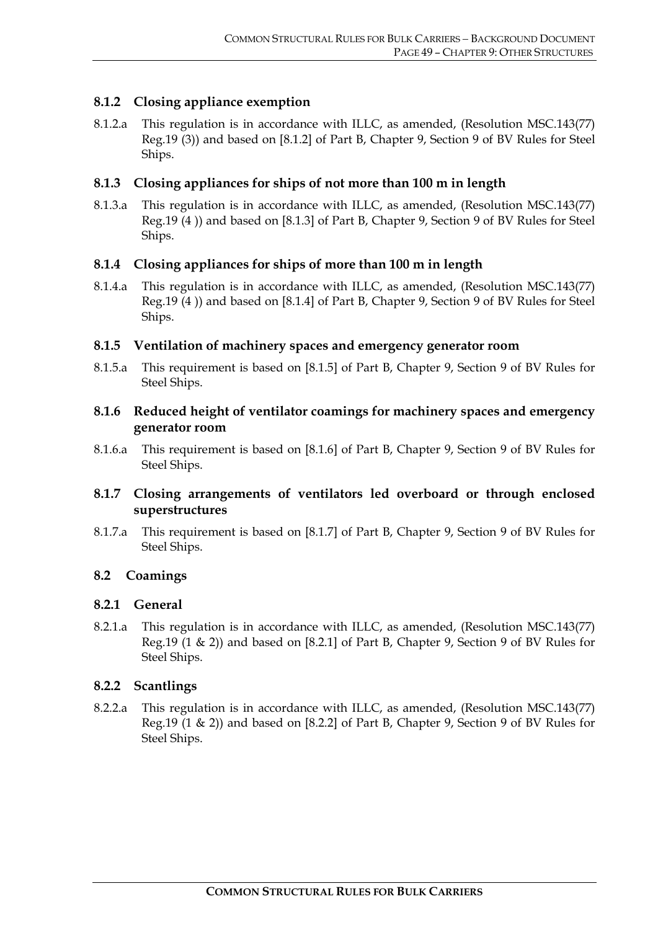# **8.1.2 Closing appliance exemption**

8.1.2.a This regulation is in accordance with ILLC, as amended, (Resolution MSC.143(77) Reg.19 (3)) and based on [8.1.2] of Part B, Chapter 9, Section 9 of BV Rules for Steel Ships.

# **8.1.3 Closing appliances for ships of not more than 100 m in length**

8.1.3.a This regulation is in accordance with ILLC, as amended, (Resolution MSC.143(77) Reg.19 (4 )) and based on [8.1.3] of Part B, Chapter 9, Section 9 of BV Rules for Steel Ships.

# **8.1.4 Closing appliances for ships of more than 100 m in length**

8.1.4.a This regulation is in accordance with ILLC, as amended, (Resolution MSC.143(77) Reg.19 (4 )) and based on [8.1.4] of Part B, Chapter 9, Section 9 of BV Rules for Steel Ships.

# **8.1.5 Ventilation of machinery spaces and emergency generator room**

8.1.5.a This requirement is based on [8.1.5] of Part B, Chapter 9, Section 9 of BV Rules for Steel Ships.

# **8.1.6 Reduced height of ventilator coamings for machinery spaces and emergency generator room**

8.1.6.a This requirement is based on [8.1.6] of Part B, Chapter 9, Section 9 of BV Rules for Steel Ships.

# **8.1.7 Closing arrangements of ventilators led overboard or through enclosed superstructures**

8.1.7.a This requirement is based on [8.1.7] of Part B, Chapter 9, Section 9 of BV Rules for Steel Ships.

# **8.2 Coamings**

# **8.2.1 General**

8.2.1.a This regulation is in accordance with ILLC, as amended, (Resolution MSC.143(77) Reg.19 (1 & 2)) and based on [8.2.1] of Part B, Chapter 9, Section 9 of BV Rules for Steel Ships.

# **8.2.2 Scantlings**

8.2.2.a This regulation is in accordance with ILLC, as amended, (Resolution MSC.143(77) Reg.19 (1 & 2)) and based on [8.2.2] of Part B, Chapter 9, Section 9 of BV Rules for Steel Ships.